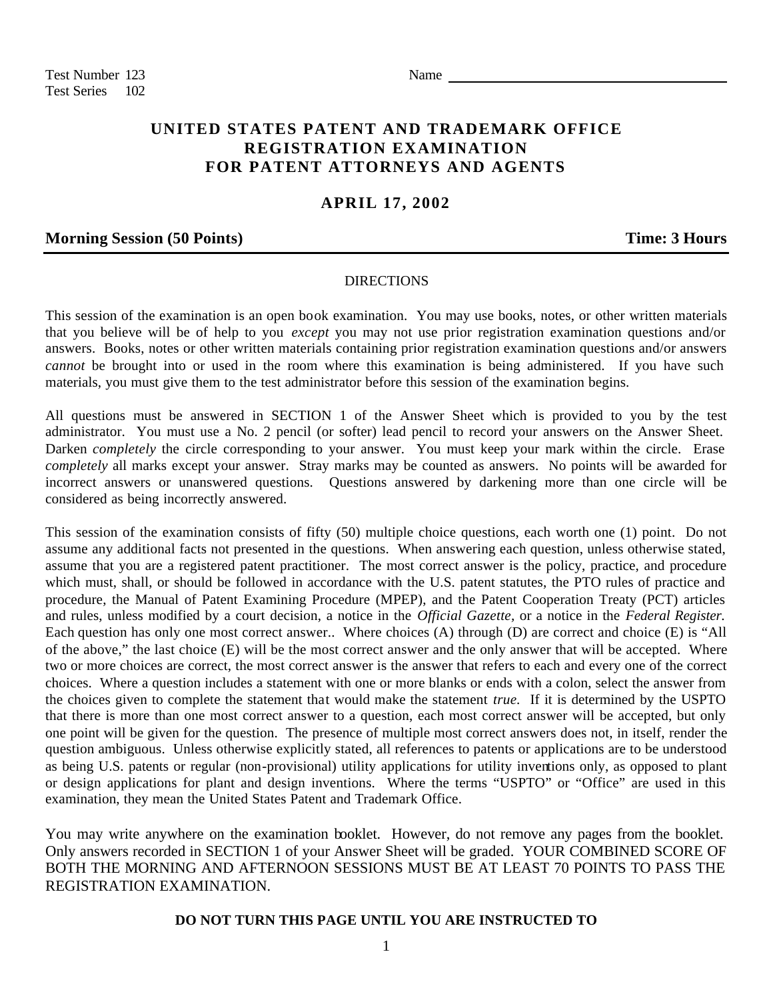Test Number 123 Name Test Series 102

# **UNITED STATES PATENT AND TRADEMARK OFFICE REGISTRATION EXAMINATION FOR PATENT ATTORNEYS AND AGENTS**

### **APRIL 17, 2002**

## **Morning Session (50 Points) Time: 3 Hours**

#### DIRECTIONS

This session of the examination is an open book examination. You may use books, notes, or other written materials that you believe will be of help to you *except* you may not use prior registration examination questions and/or answers. Books, notes or other written materials containing prior registration examination questions and/or answers *cannot* be brought into or used in the room where this examination is being administered. If you have such materials, you must give them to the test administrator before this session of the examination begins.

All questions must be answered in SECTION 1 of the Answer Sheet which is provided to you by the test administrator. You must use a No. 2 pencil (or softer) lead pencil to record your answers on the Answer Sheet. Darken *completely* the circle corresponding to your answer. You must keep your mark within the circle. Erase *completely* all marks except your answer. Stray marks may be counted as answers. No points will be awarded for incorrect answers or unanswered questions. Questions answered by darkening more than one circle will be considered as being incorrectly answered.

This session of the examination consists of fifty (50) multiple choice questions, each worth one (1) point. Do not assume any additional facts not presented in the questions. When answering each question, unless otherwise stated, assume that you are a registered patent practitioner. The most correct answer is the policy, practice, and procedure which must, shall, or should be followed in accordance with the U.S. patent statutes, the PTO rules of practice and procedure, the Manual of Patent Examining Procedure (MPEP), and the Patent Cooperation Treaty (PCT) articles and rules, unless modified by a court decision, a notice in the *Official Gazette,* or a notice in the *Federal Register.* Each question has only one most correct answer.. Where choices (A) through (D) are correct and choice (E) is "All of the above," the last choice (E) will be the most correct answer and the only answer that will be accepted. Where two or more choices are correct, the most correct answer is the answer that refers to each and every one of the correct choices. Where a question includes a statement with one or more blanks or ends with a colon, select the answer from the choices given to complete the statement that would make the statement *true.* If it is determined by the USPTO that there is more than one most correct answer to a question, each most correct answer will be accepted, but only one point will be given for the question. The presence of multiple most correct answers does not, in itself, render the question ambiguous. Unless otherwise explicitly stated, all references to patents or applications are to be understood as being U.S. patents or regular (non-provisional) utility applications for utility inventions only, as opposed to plant or design applications for plant and design inventions. Where the terms "USPTO" or "Office" are used in this examination, they mean the United States Patent and Trademark Office.

You may write anywhere on the examination booklet. However, do not remove any pages from the booklet. Only answers recorded in SECTION 1 of your Answer Sheet will be graded. YOUR COMBINED SCORE OF BOTH THE MORNING AND AFTERNOON SESSIONS MUST BE AT LEAST 70 POINTS TO PASS THE REGISTRATION EXAMINATION.

#### **DO NOT TURN THIS PAGE UNTIL YOU ARE INSTRUCTED TO**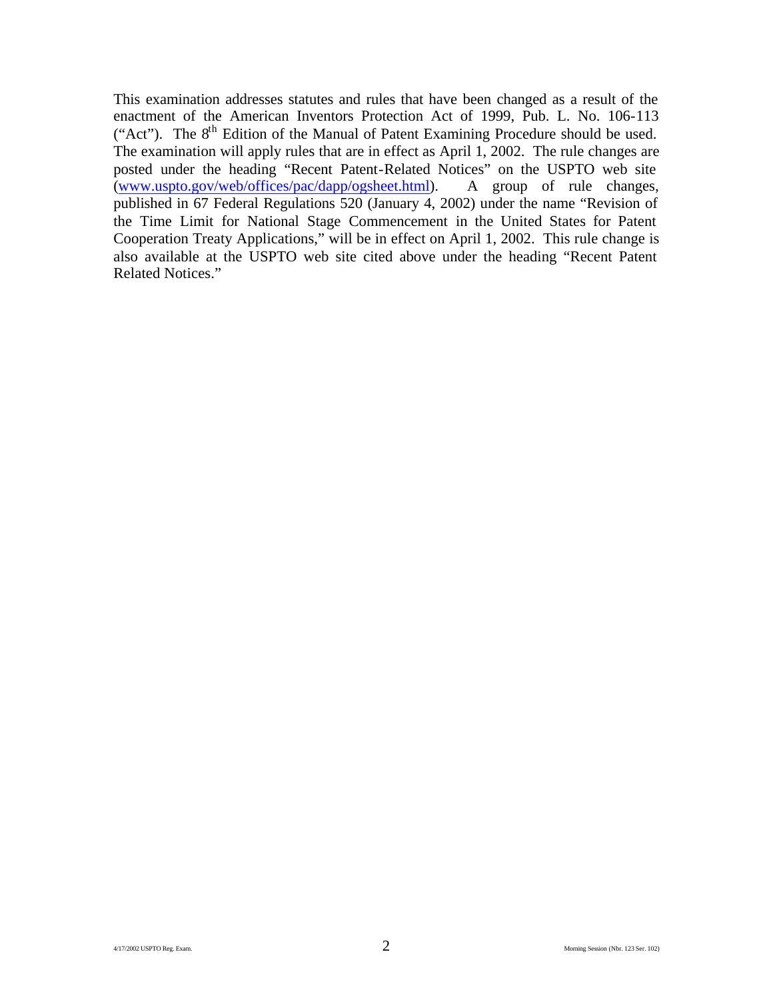This examination addresses statutes and rules that have been changed as a result of the enactment of the American Inventors Protection Act of 1999, Pub. L. No. 106-113 ("Act"). The  $8<sup>th</sup>$  Edition of the Manual of Patent Examining Procedure should be used. The examination will apply rules that are in effect as April 1, 2002. The rule changes are posted under the heading "Recent Patent-Related Notices" on the USPTO web site (www.uspto.gov/web/offices/pac/dapp/ogsheet.html). A group of rule changes, (www.uspto.gov/web/offices/pac/dapp/ogsheet.html). published in 67 Federal Regulations 520 (January 4, 2002) under the name "Revision of the Time Limit for National Stage Commencement in the United States for Patent Cooperation Treaty Applications," will be in effect on April 1, 2002. This rule change is also available at the USPTO web site cited above under the heading "Recent Patent Related Notices."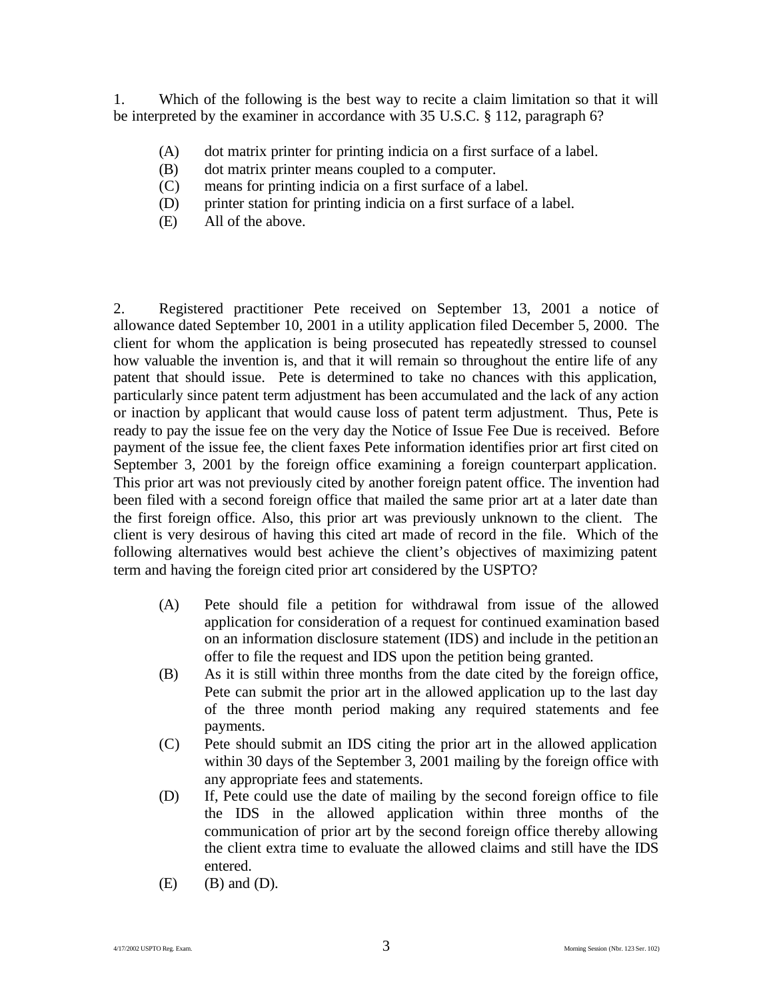1. Which of the following is the best way to recite a claim limitation so that it will be interpreted by the examiner in accordance with 35 U.S.C. § 112, paragraph 6?

- (A) dot matrix printer for printing indicia on a first surface of a label.
- (B) dot matrix printer means coupled to a computer.
- (C) means for printing indicia on a first surface of a label.
- (D) printer station for printing indicia on a first surface of a label.
- (E) All of the above.

2. Registered practitioner Pete received on September 13, 2001 a notice of allowance dated September 10, 2001 in a utility application filed December 5, 2000. The client for whom the application is being prosecuted has repeatedly stressed to counsel how valuable the invention is, and that it will remain so throughout the entire life of any patent that should issue. Pete is determined to take no chances with this application, particularly since patent term adjustment has been accumulated and the lack of any action or inaction by applicant that would cause loss of patent term adjustment. Thus, Pete is ready to pay the issue fee on the very day the Notice of Issue Fee Due is received. Before payment of the issue fee, the client faxes Pete information identifies prior art first cited on September 3, 2001 by the foreign office examining a foreign counterpart application. This prior art was not previously cited by another foreign patent office. The invention had been filed with a second foreign office that mailed the same prior art at a later date than the first foreign office. Also, this prior art was previously unknown to the client. The client is very desirous of having this cited art made of record in the file. Which of the following alternatives would best achieve the client's objectives of maximizing patent term and having the foreign cited prior art considered by the USPTO?

- (A) Pete should file a petition for withdrawal from issue of the allowed application for consideration of a request for continued examination based on an information disclosure statement (IDS) and include in the petition an offer to file the request and IDS upon the petition being granted.
- (B) As it is still within three months from the date cited by the foreign office, Pete can submit the prior art in the allowed application up to the last day of the three month period making any required statements and fee payments.
- (C) Pete should submit an IDS citing the prior art in the allowed application within 30 days of the September 3, 2001 mailing by the foreign office with any appropriate fees and statements.
- (D) If, Pete could use the date of mailing by the second foreign office to file the IDS in the allowed application within three months of the communication of prior art by the second foreign office thereby allowing the client extra time to evaluate the allowed claims and still have the IDS entered.
- $(E)$  (B) and  $(D)$ .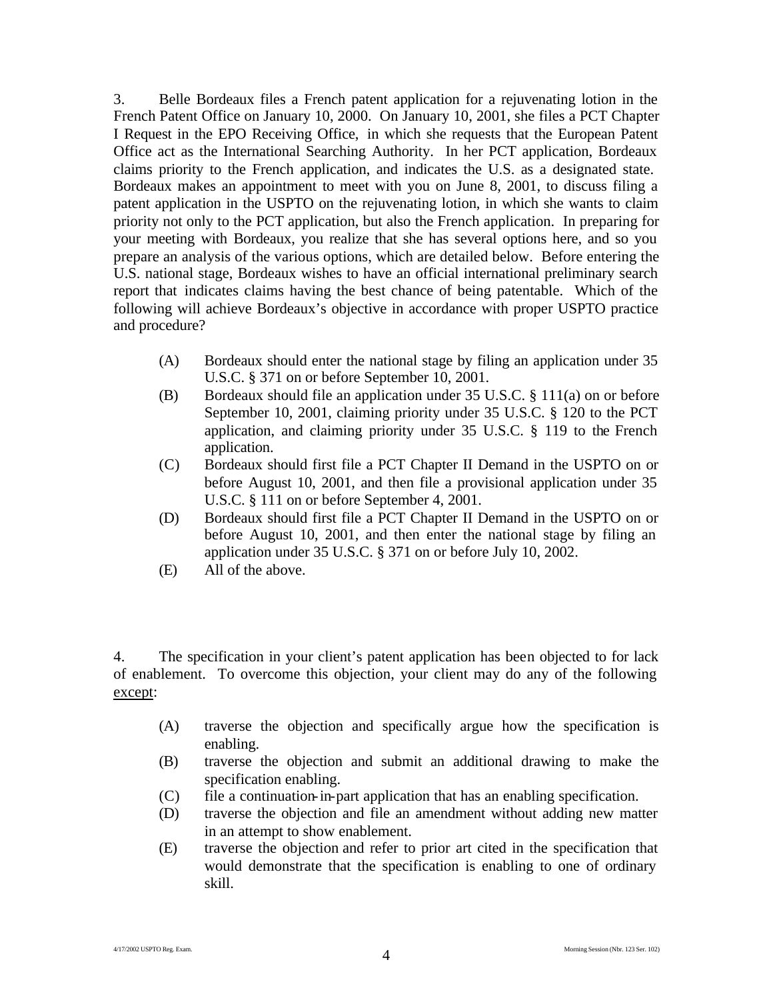3. Belle Bordeaux files a French patent application for a rejuvenating lotion in the French Patent Office on January 10, 2000. On January 10, 2001, she files a PCT Chapter I Request in the EPO Receiving Office, in which she requests that the European Patent Office act as the International Searching Authority. In her PCT application, Bordeaux claims priority to the French application, and indicates the U.S. as a designated state. Bordeaux makes an appointment to meet with you on June 8, 2001, to discuss filing a patent application in the USPTO on the rejuvenating lotion, in which she wants to claim priority not only to the PCT application, but also the French application. In preparing for your meeting with Bordeaux, you realize that she has several options here, and so you prepare an analysis of the various options, which are detailed below. Before entering the U.S. national stage, Bordeaux wishes to have an official international preliminary search report that indicates claims having the best chance of being patentable. Which of the following will achieve Bordeaux's objective in accordance with proper USPTO practice and procedure?

- (A) Bordeaux should enter the national stage by filing an application under 35 U.S.C. § 371 on or before September 10, 2001.
- (B) Bordeaux should file an application under 35 U.S.C. § 111(a) on or before September 10, 2001, claiming priority under 35 U.S.C. § 120 to the PCT application, and claiming priority under 35 U.S.C. § 119 to the French application.
- (C) Bordeaux should first file a PCT Chapter II Demand in the USPTO on or before August 10, 2001, and then file a provisional application under 35 U.S.C. § 111 on or before September 4, 2001.
- (D) Bordeaux should first file a PCT Chapter II Demand in the USPTO on or before August 10, 2001, and then enter the national stage by filing an application under 35 U.S.C. § 371 on or before July 10, 2002.
- (E) All of the above.

4. The specification in your client's patent application has been objected to for lack of enablement. To overcome this objection, your client may do any of the following except:

- (A) traverse the objection and specifically argue how the specification is enabling.
- (B) traverse the objection and submit an additional drawing to make the specification enabling.
- (C) file a continuation-in-part application that has an enabling specification.
- (D) traverse the objection and file an amendment without adding new matter in an attempt to show enablement.
- (E) traverse the objection and refer to prior art cited in the specification that would demonstrate that the specification is enabling to one of ordinary skill.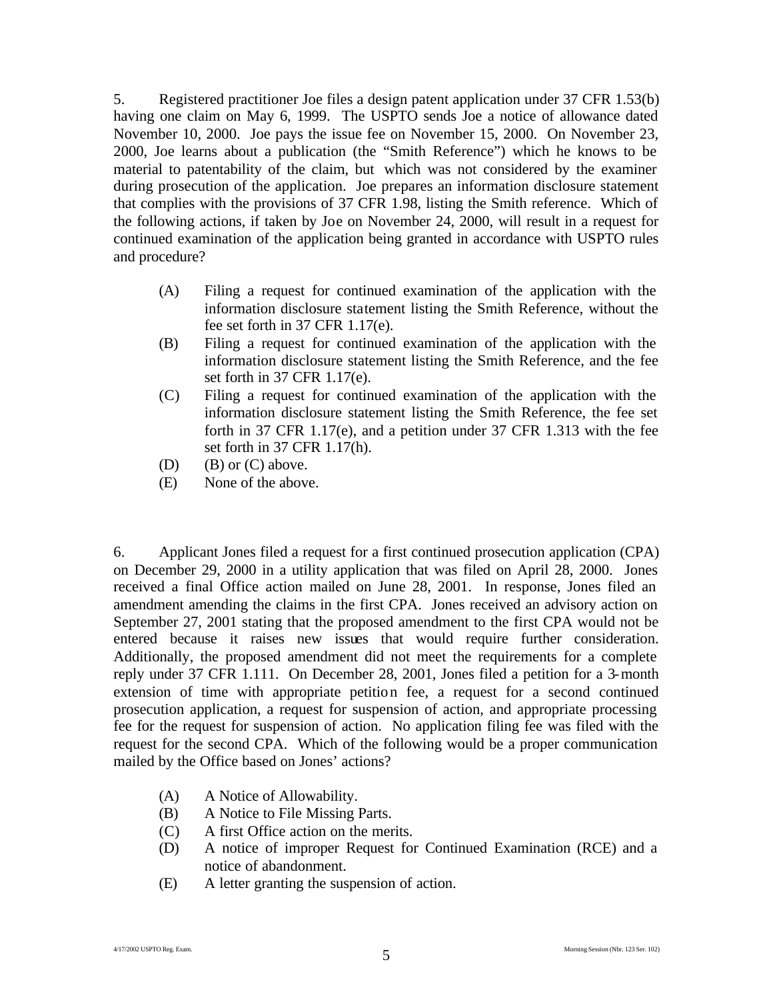5. Registered practitioner Joe files a design patent application under 37 CFR 1.53(b) having one claim on May 6, 1999. The USPTO sends Joe a notice of allowance dated November 10, 2000. Joe pays the issue fee on November 15, 2000. On November 23, 2000, Joe learns about a publication (the "Smith Reference") which he knows to be material to patentability of the claim, but which was not considered by the examiner during prosecution of the application. Joe prepares an information disclosure statement that complies with the provisions of 37 CFR 1.98, listing the Smith reference. Which of the following actions, if taken by Joe on November 24, 2000, will result in a request for continued examination of the application being granted in accordance with USPTO rules and procedure?

- (A) Filing a request for continued examination of the application with the information disclosure statement listing the Smith Reference, without the fee set forth in 37 CFR 1.17(e).
- (B) Filing a request for continued examination of the application with the information disclosure statement listing the Smith Reference, and the fee set forth in 37 CFR 1.17(e).
- (C) Filing a request for continued examination of the application with the information disclosure statement listing the Smith Reference, the fee set forth in 37 CFR 1.17(e), and a petition under 37 CFR 1.313 with the fee set forth in 37 CFR 1.17(h).
- (D) (B) or  $(C)$  above.
- (E) None of the above.

6. Applicant Jones filed a request for a first continued prosecution application (CPA) on December 29, 2000 in a utility application that was filed on April 28, 2000. Jones received a final Office action mailed on June 28, 2001. In response, Jones filed an amendment amending the claims in the first CPA. Jones received an advisory action on September 27, 2001 stating that the proposed amendment to the first CPA would not be entered because it raises new issues that would require further consideration. Additionally, the proposed amendment did not meet the requirements for a complete reply under 37 CFR 1.111. On December 28, 2001, Jones filed a petition for a 3-month extension of time with appropriate petition fee, a request for a second continued prosecution application, a request for suspension of action, and appropriate processing fee for the request for suspension of action. No application filing fee was filed with the request for the second CPA. Which of the following would be a proper communication mailed by the Office based on Jones' actions?

- (A) A Notice of Allowability.
- (B) A Notice to File Missing Parts.
- (C) A first Office action on the merits.
- (D) A notice of improper Request for Continued Examination (RCE) and a notice of abandonment.
- (E) A letter granting the suspension of action.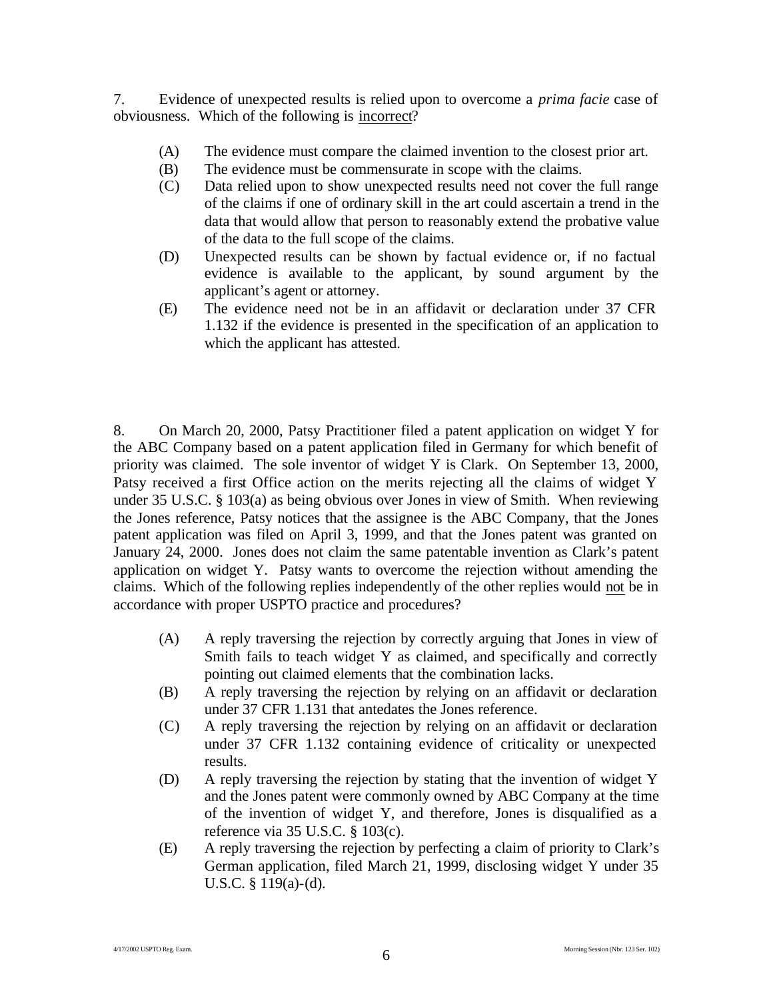7. Evidence of unexpected results is relied upon to overcome a *prima facie* case of obviousness. Which of the following is incorrect?

- (A) The evidence must compare the claimed invention to the closest prior art.
- (B) The evidence must be commensurate in scope with the claims.
- (C) Data relied upon to show unexpected results need not cover the full range of the claims if one of ordinary skill in the art could ascertain a trend in the data that would allow that person to reasonably extend the probative value of the data to the full scope of the claims.
- (D) Unexpected results can be shown by factual evidence or, if no factual evidence is available to the applicant, by sound argument by the applicant's agent or attorney.
- (E) The evidence need not be in an affidavit or declaration under 37 CFR 1.132 if the evidence is presented in the specification of an application to which the applicant has attested.

8. On March 20, 2000, Patsy Practitioner filed a patent application on widget Y for the ABC Company based on a patent application filed in Germany for which benefit of priority was claimed. The sole inventor of widget Y is Clark. On September 13, 2000, Patsy received a first Office action on the merits rejecting all the claims of widget Y under 35 U.S.C. § 103(a) as being obvious over Jones in view of Smith. When reviewing the Jones reference, Patsy notices that the assignee is the ABC Company, that the Jones patent application was filed on April 3, 1999, and that the Jones patent was granted on January 24, 2000. Jones does not claim the same patentable invention as Clark's patent application on widget Y. Patsy wants to overcome the rejection without amending the claims. Which of the following replies independently of the other replies would not be in accordance with proper USPTO practice and procedures?

- (A) A reply traversing the rejection by correctly arguing that Jones in view of Smith fails to teach widget Y as claimed, and specifically and correctly pointing out claimed elements that the combination lacks.
- (B) A reply traversing the rejection by relying on an affidavit or declaration under 37 CFR 1.131 that antedates the Jones reference.
- (C) A reply traversing the rejection by relying on an affidavit or declaration under 37 CFR 1.132 containing evidence of criticality or unexpected results.
- (D) A reply traversing the rejection by stating that the invention of widget Y and the Jones patent were commonly owned by ABC Company at the time of the invention of widget Y, and therefore, Jones is disqualified as a reference via 35 U.S.C. § 103(c).
- (E) A reply traversing the rejection by perfecting a claim of priority to Clark's German application, filed March 21, 1999, disclosing widget Y under 35 U.S.C. § 119(a)-(d).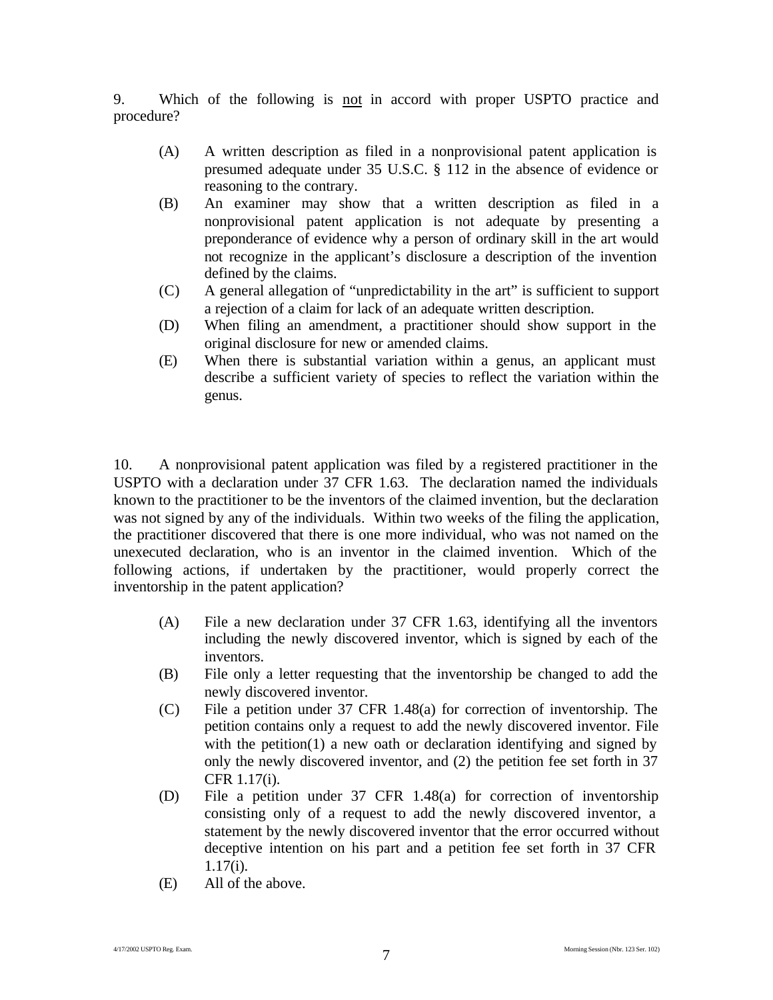9. Which of the following is not in accord with proper USPTO practice and procedure?

- (A) A written description as filed in a nonprovisional patent application is presumed adequate under 35 U.S.C. § 112 in the absence of evidence or reasoning to the contrary.
- (B) An examiner may show that a written description as filed in a nonprovisional patent application is not adequate by presenting a preponderance of evidence why a person of ordinary skill in the art would not recognize in the applicant's disclosure a description of the invention defined by the claims.
- (C) A general allegation of "unpredictability in the art" is sufficient to support a rejection of a claim for lack of an adequate written description.
- (D) When filing an amendment, a practitioner should show support in the original disclosure for new or amended claims.
- (E) When there is substantial variation within a genus, an applicant must describe a sufficient variety of species to reflect the variation within the genus.

10. A nonprovisional patent application was filed by a registered practitioner in the USPTO with a declaration under 37 CFR 1.63. The declaration named the individuals known to the practitioner to be the inventors of the claimed invention, but the declaration was not signed by any of the individuals. Within two weeks of the filing the application, the practitioner discovered that there is one more individual, who was not named on the unexecuted declaration, who is an inventor in the claimed invention. Which of the following actions, if undertaken by the practitioner, would properly correct the inventorship in the patent application?

- (A) File a new declaration under 37 CFR 1.63, identifying all the inventors including the newly discovered inventor, which is signed by each of the inventors.
- (B) File only a letter requesting that the inventorship be changed to add the newly discovered inventor.
- (C) File a petition under 37 CFR 1.48(a) for correction of inventorship. The petition contains only a request to add the newly discovered inventor. File with the petition(1) a new oath or declaration identifying and signed by only the newly discovered inventor, and (2) the petition fee set forth in 37 CFR 1.17(i).
- (D) File a petition under 37 CFR 1.48(a) for correction of inventorship consisting only of a request to add the newly discovered inventor, a statement by the newly discovered inventor that the error occurred without deceptive intention on his part and a petition fee set forth in 37 CFR 1.17(i).
- (E) All of the above.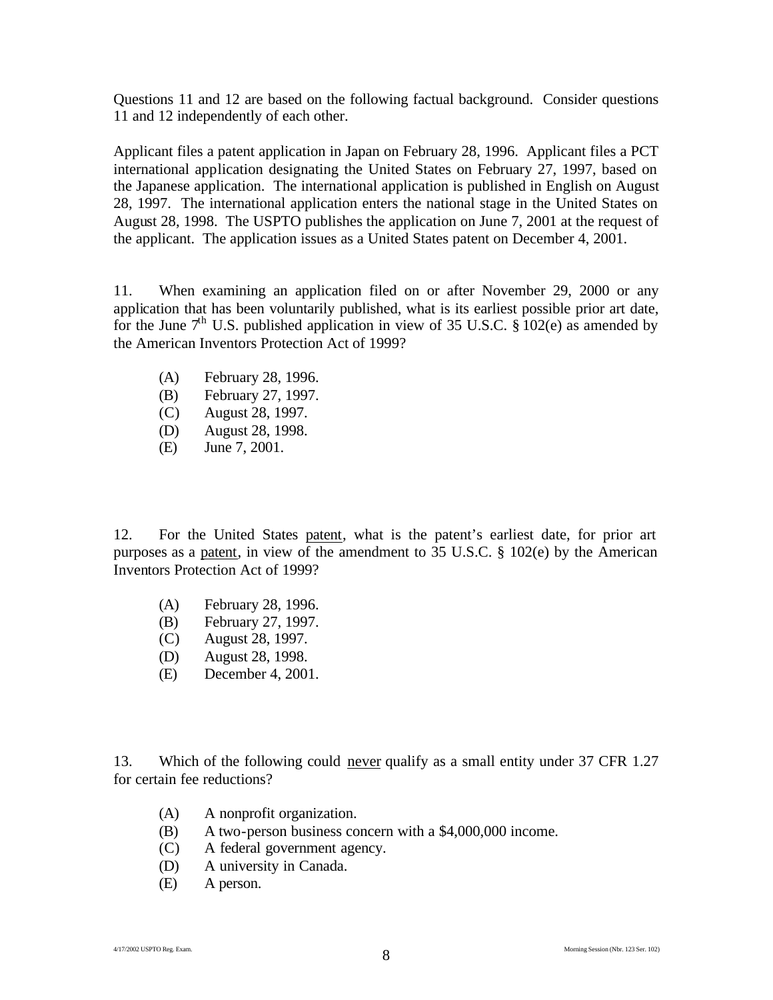Questions 11 and 12 are based on the following factual background. Consider questions 11 and 12 independently of each other.

Applicant files a patent application in Japan on February 28, 1996. Applicant files a PCT international application designating the United States on February 27, 1997, based on the Japanese application. The international application is published in English on August 28, 1997. The international application enters the national stage in the United States on August 28, 1998. The USPTO publishes the application on June 7, 2001 at the request of the applicant. The application issues as a United States patent on December 4, 2001.

11. When examining an application filed on or after November 29, 2000 or any application that has been voluntarily published, what is its earliest possible prior art date, for the June  $7<sup>th</sup>$  U.S. published application in view of 35 U.S.C. § 102(e) as amended by the American Inventors Protection Act of 1999?

- (A) February 28, 1996.
- (B) February 27, 1997.
- (C) August 28, 1997.
- (D) August 28, 1998.
- (E) June 7, 2001.

12. For the United States patent, what is the patent's earliest date, for prior art purposes as a patent, in view of the amendment to 35 U.S.C. § 102(e) by the American Inventors Protection Act of 1999?

- (A) February 28, 1996.
- (B) February 27, 1997.
- (C) August 28, 1997.
- (D) August 28, 1998.
- (E) December 4, 2001.

13. Which of the following could never qualify as a small entity under 37 CFR 1.27 for certain fee reductions?

- (A) A nonprofit organization.
- (B) A two-person business concern with a \$4,000,000 income.
- (C) A federal government agency.
- (D) A university in Canada.
- (E) A person.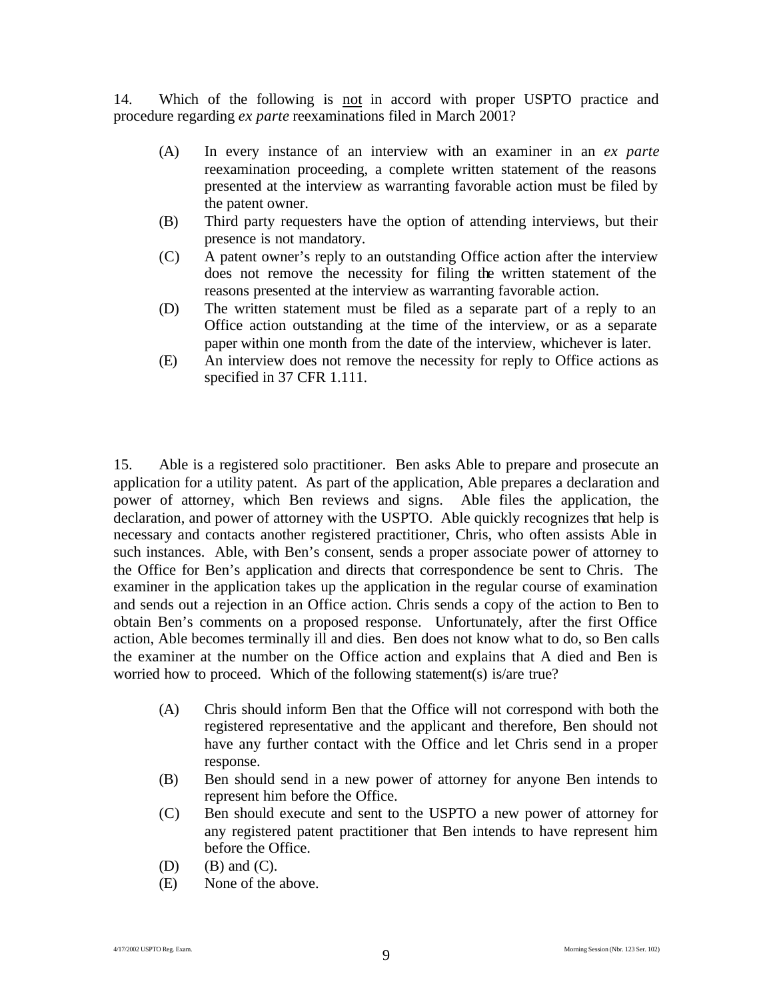14. Which of the following is not in accord with proper USPTO practice and procedure regarding *ex parte* reexaminations filed in March 2001?

- (A) In every instance of an interview with an examiner in an *ex parte* reexamination proceeding, a complete written statement of the reasons presented at the interview as warranting favorable action must be filed by the patent owner.
- (B) Third party requesters have the option of attending interviews, but their presence is not mandatory.
- (C) A patent owner's reply to an outstanding Office action after the interview does not remove the necessity for filing the written statement of the reasons presented at the interview as warranting favorable action.
- (D) The written statement must be filed as a separate part of a reply to an Office action outstanding at the time of the interview, or as a separate paper within one month from the date of the interview, whichever is later.
- (E) An interview does not remove the necessity for reply to Office actions as specified in 37 CFR 1.111.

15. Able is a registered solo practitioner. Ben asks Able to prepare and prosecute an application for a utility patent. As part of the application, Able prepares a declaration and power of attorney, which Ben reviews and signs. Able files the application, the declaration, and power of attorney with the USPTO. Able quickly recognizes that help is necessary and contacts another registered practitioner, Chris, who often assists Able in such instances. Able, with Ben's consent, sends a proper associate power of attorney to the Office for Ben's application and directs that correspondence be sent to Chris. The examiner in the application takes up the application in the regular course of examination and sends out a rejection in an Office action. Chris sends a copy of the action to Ben to obtain Ben's comments on a proposed response. Unfortunately, after the first Office action, Able becomes terminally ill and dies. Ben does not know what to do, so Ben calls the examiner at the number on the Office action and explains that A died and Ben is worried how to proceed. Which of the following statement(s) is/are true?

- (A) Chris should inform Ben that the Office will not correspond with both the registered representative and the applicant and therefore, Ben should not have any further contact with the Office and let Chris send in a proper response.
- (B) Ben should send in a new power of attorney for anyone Ben intends to represent him before the Office.
- (C) Ben should execute and sent to the USPTO a new power of attorney for any registered patent practitioner that Ben intends to have represent him before the Office.
- $(D)$   $(B)$  and  $(C)$ .
- (E) None of the above.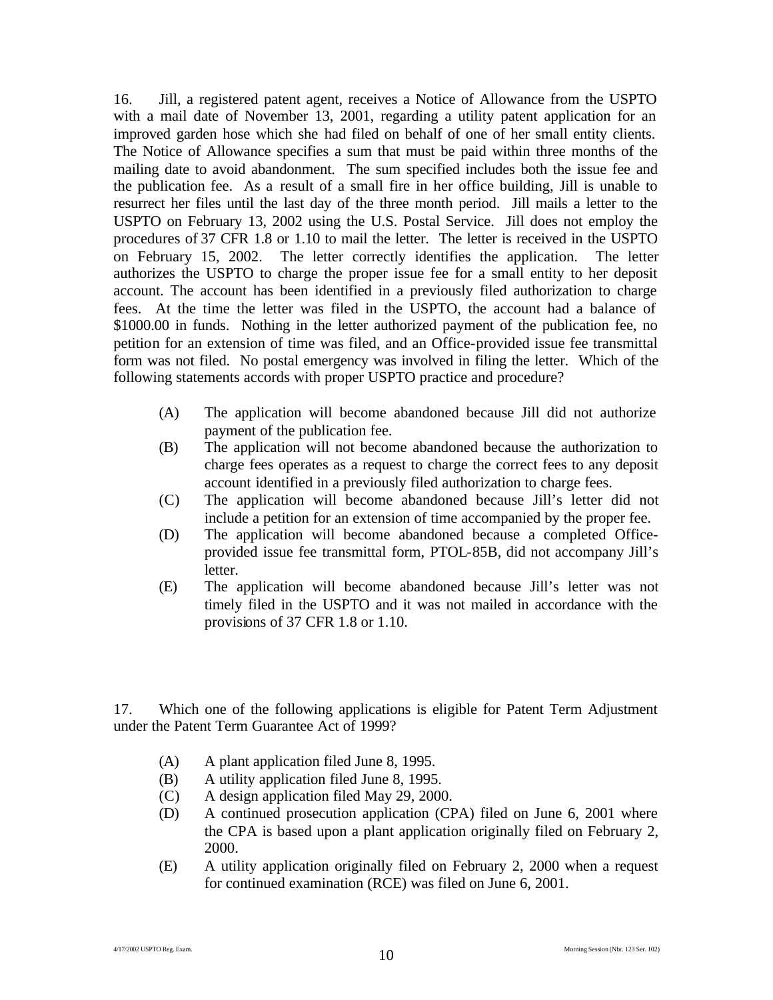16. Jill, a registered patent agent, receives a Notice of Allowance from the USPTO with a mail date of November 13, 2001, regarding a utility patent application for an improved garden hose which she had filed on behalf of one of her small entity clients. The Notice of Allowance specifies a sum that must be paid within three months of the mailing date to avoid abandonment. The sum specified includes both the issue fee and the publication fee. As a result of a small fire in her office building, Jill is unable to resurrect her files until the last day of the three month period. Jill mails a letter to the USPTO on February 13, 2002 using the U.S. Postal Service. Jill does not employ the procedures of 37 CFR 1.8 or 1.10 to mail the letter. The letter is received in the USPTO on February 15, 2002. The letter correctly identifies the application. The letter authorizes the USPTO to charge the proper issue fee for a small entity to her deposit account. The account has been identified in a previously filed authorization to charge fees. At the time the letter was filed in the USPTO, the account had a balance of \$1000.00 in funds. Nothing in the letter authorized payment of the publication fee, no petition for an extension of time was filed, and an Office-provided issue fee transmittal form was not filed. No postal emergency was involved in filing the letter. Which of the following statements accords with proper USPTO practice and procedure?

- (A) The application will become abandoned because Jill did not authorize payment of the publication fee.
- (B) The application will not become abandoned because the authorization to charge fees operates as a request to charge the correct fees to any deposit account identified in a previously filed authorization to charge fees.
- (C) The application will become abandoned because Jill's letter did not include a petition for an extension of time accompanied by the proper fee.
- (D) The application will become abandoned because a completed Officeprovided issue fee transmittal form, PTOL-85B, did not accompany Jill's letter.
- (E) The application will become abandoned because Jill's letter was not timely filed in the USPTO and it was not mailed in accordance with the provisions of 37 CFR 1.8 or 1.10.

17. Which one of the following applications is eligible for Patent Term Adjustment under the Patent Term Guarantee Act of 1999?

- (A) A plant application filed June 8, 1995.
- (B) A utility application filed June 8, 1995.
- (C) A design application filed May 29, 2000.
- (D) A continued prosecution application (CPA) filed on June 6, 2001 where the CPA is based upon a plant application originally filed on February 2, 2000.
- (E) A utility application originally filed on February 2, 2000 when a request for continued examination (RCE) was filed on June 6, 2001.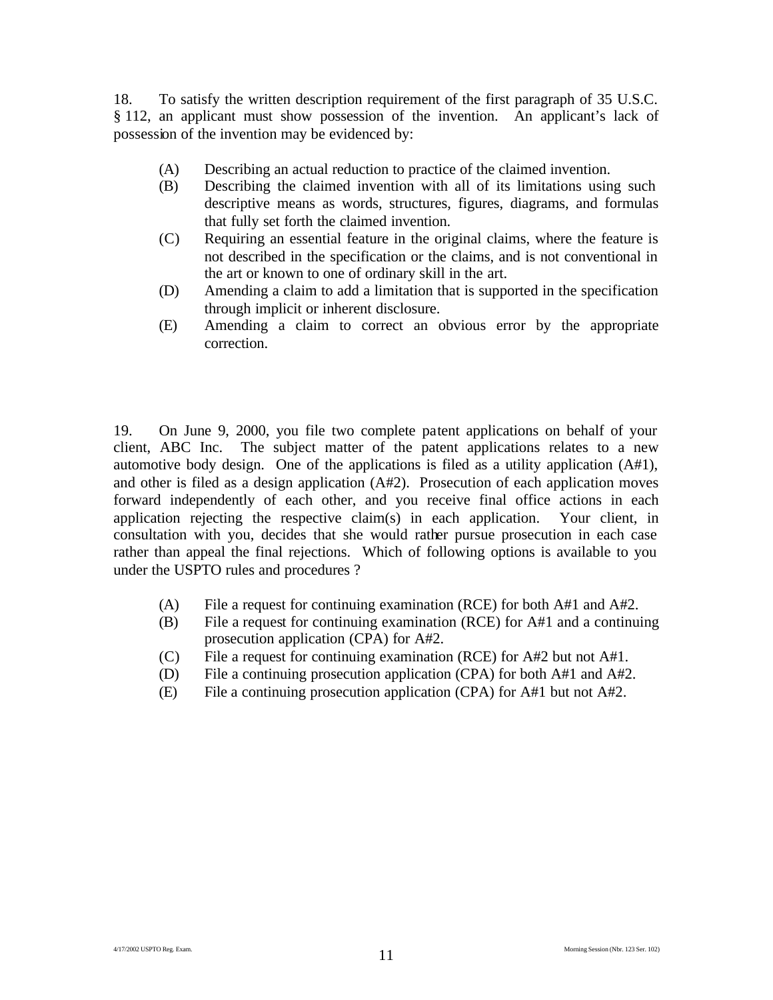18. To satisfy the written description requirement of the first paragraph of 35 U.S.C. § 112, an applicant must show possession of the invention. An applicant's lack of possession of the invention may be evidenced by:

- (A) Describing an actual reduction to practice of the claimed invention.
- (B) Describing the claimed invention with all of its limitations using such descriptive means as words, structures, figures, diagrams, and formulas that fully set forth the claimed invention.
- (C) Requiring an essential feature in the original claims, where the feature is not described in the specification or the claims, and is not conventional in the art or known to one of ordinary skill in the art.
- (D) Amending a claim to add a limitation that is supported in the specification through implicit or inherent disclosure.
- (E) Amending a claim to correct an obvious error by the appropriate correction.

19. On June 9, 2000, you file two complete patent applications on behalf of your client, ABC Inc. The subject matter of the patent applications relates to a new automotive body design. One of the applications is filed as a utility application (A#1), and other is filed as a design application (A#2). Prosecution of each application moves forward independently of each other, and you receive final office actions in each application rejecting the respective claim(s) in each application. Your client, in consultation with you, decides that she would rather pursue prosecution in each case rather than appeal the final rejections. Which of following options is available to you under the USPTO rules and procedures ?

- (A) File a request for continuing examination (RCE) for both A#1 and A#2.
- (B) File a request for continuing examination (RCE) for A#1 and a continuing prosecution application (CPA) for A#2.
- (C) File a request for continuing examination (RCE) for A#2 but not A#1.
- (D) File a continuing prosecution application (CPA) for both A#1 and A#2.
- (E) File a continuing prosecution application (CPA) for A#1 but not A#2.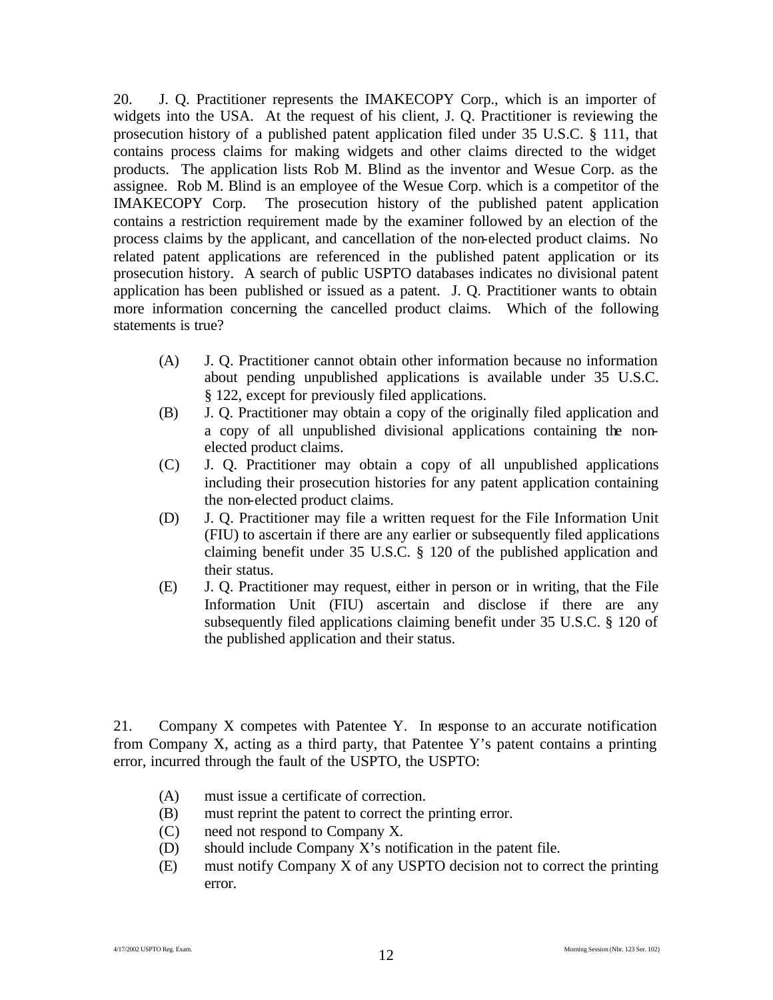20. J. Q. Practitioner represents the IMAKECOPY Corp., which is an importer of widgets into the USA. At the request of his client, J. Q. Practitioner is reviewing the prosecution history of a published patent application filed under 35 U.S.C. § 111, that contains process claims for making widgets and other claims directed to the widget products. The application lists Rob M. Blind as the inventor and Wesue Corp. as the assignee. Rob M. Blind is an employee of the Wesue Corp. which is a competitor of the IMAKECOPY Corp. The prosecution history of the published patent application contains a restriction requirement made by the examiner followed by an election of the process claims by the applicant, and cancellation of the non-elected product claims. No related patent applications are referenced in the published patent application or its prosecution history. A search of public USPTO databases indicates no divisional patent application has been published or issued as a patent. J. Q. Practitioner wants to obtain more information concerning the cancelled product claims. Which of the following statements is true?

- (A) J. Q. Practitioner cannot obtain other information because no information about pending unpublished applications is available under 35 U.S.C. § 122, except for previously filed applications.
- (B) J. Q. Practitioner may obtain a copy of the originally filed application and a copy of all unpublished divisional applications containing the nonelected product claims.
- (C) J. Q. Practitioner may obtain a copy of all unpublished applications including their prosecution histories for any patent application containing the non-elected product claims.
- (D) J. Q. Practitioner may file a written request for the File Information Unit (FIU) to ascertain if there are any earlier or subsequently filed applications claiming benefit under 35 U.S.C. § 120 of the published application and their status.
- (E) J. Q. Practitioner may request, either in person or in writing, that the File Information Unit (FIU) ascertain and disclose if there are any subsequently filed applications claiming benefit under 35 U.S.C. § 120 of the published application and their status.

21. Company X competes with Patentee Y. In response to an accurate notification from Company X, acting as a third party, that Patentee Y's patent contains a printing error, incurred through the fault of the USPTO, the USPTO:

- (A) must issue a certificate of correction.
- (B) must reprint the patent to correct the printing error.
- (C) need not respond to Company X.
- (D) should include Company X's notification in the patent file.
- (E) must notify Company X of any USPTO decision not to correct the printing error.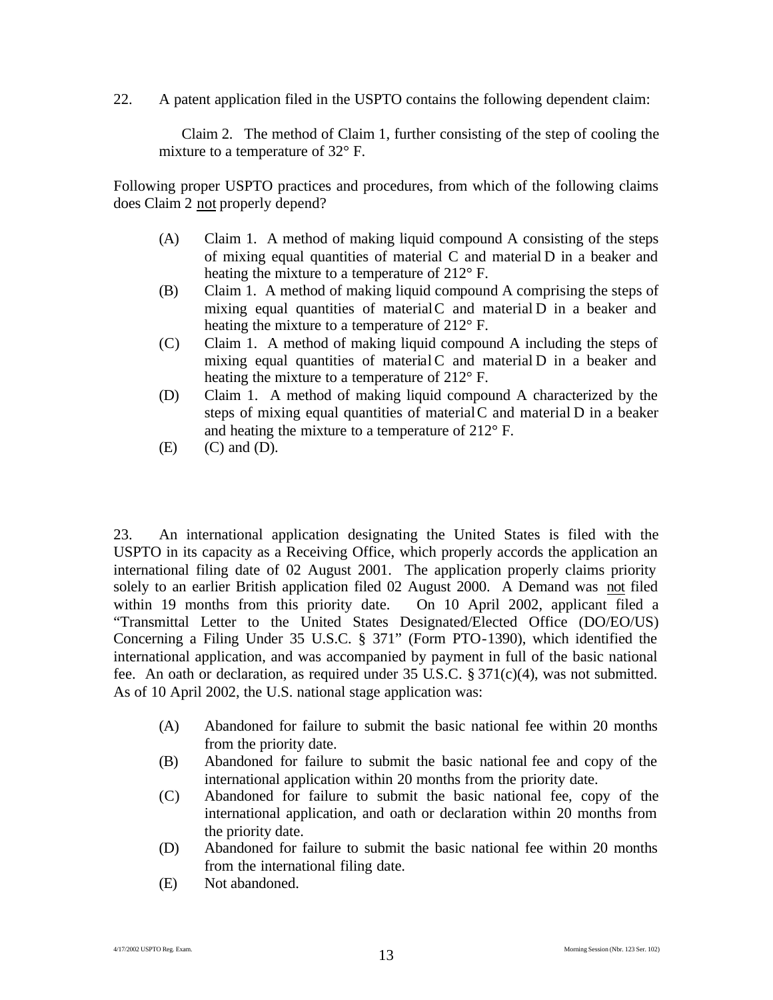22. A patent application filed in the USPTO contains the following dependent claim:

Claim 2. The method of Claim 1, further consisting of the step of cooling the mixture to a temperature of 32° F.

Following proper USPTO practices and procedures, from which of the following claims does Claim 2 not properly depend?

- (A) Claim 1. A method of making liquid compound A consisting of the steps of mixing equal quantities of material C and material D in a beaker and heating the mixture to a temperature of 212° F.
- (B) Claim 1. A method of making liquid compound A comprising the steps of mixing equal quantities of materialC and material D in a beaker and heating the mixture to a temperature of 212° F.
- (C) Claim 1. A method of making liquid compound A including the steps of mixing equal quantities of material C and material D in a beaker and heating the mixture to a temperature of 212° F.
- (D) Claim 1. A method of making liquid compound A characterized by the steps of mixing equal quantities of materialC and material D in a beaker and heating the mixture to a temperature of 212° F.
- $(E)$   $(C)$  and  $(D)$ .

23. An international application designating the United States is filed with the USPTO in its capacity as a Receiving Office, which properly accords the application an international filing date of 02 August 2001. The application properly claims priority solely to an earlier British application filed 02 August 2000. A Demand was not filed within 19 months from this priority date. On 10 April 2002, applicant filed a "Transmittal Letter to the United States Designated/Elected Office (DO/EO/US) Concerning a Filing Under 35 U.S.C. § 371" (Form PTO-1390), which identified the international application, and was accompanied by payment in full of the basic national fee. An oath or declaration, as required under 35 U.S.C. § 371(c)(4), was not submitted. As of 10 April 2002, the U.S. national stage application was:

- (A) Abandoned for failure to submit the basic national fee within 20 months from the priority date.
- (B) Abandoned for failure to submit the basic national fee and copy of the international application within 20 months from the priority date.
- (C) Abandoned for failure to submit the basic national fee, copy of the international application, and oath or declaration within 20 months from the priority date.
- (D) Abandoned for failure to submit the basic national fee within 20 months from the international filing date.
- (E) Not abandoned.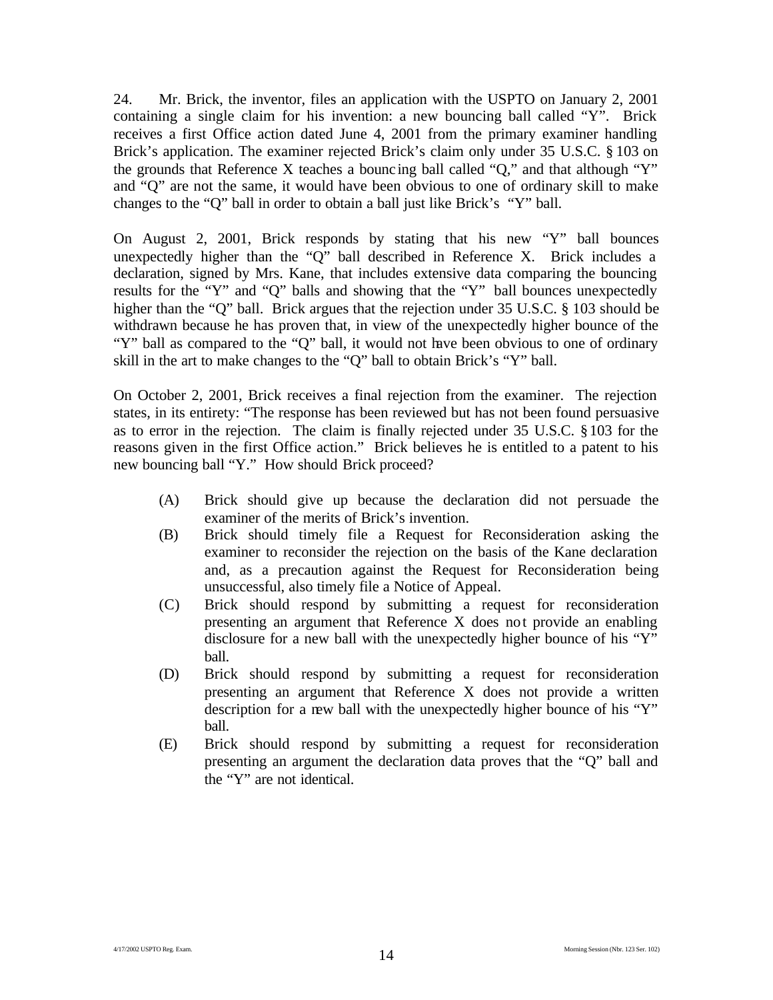24. Mr. Brick, the inventor, files an application with the USPTO on January 2, 2001 containing a single claim for his invention: a new bouncing ball called "Y". Brick receives a first Office action dated June 4, 2001 from the primary examiner handling Brick's application. The examiner rejected Brick's claim only under 35 U.S.C. § 103 on the grounds that Reference X teaches a bounc ing ball called "Q," and that although "Y" and "Q" are not the same, it would have been obvious to one of ordinary skill to make changes to the "Q" ball in order to obtain a ball just like Brick's "Y" ball.

On August 2, 2001, Brick responds by stating that his new "Y" ball bounces unexpectedly higher than the "Q" ball described in Reference X. Brick includes a declaration, signed by Mrs. Kane, that includes extensive data comparing the bouncing results for the "Y" and "Q" balls and showing that the "Y" ball bounces unexpectedly higher than the "Q" ball. Brick argues that the rejection under 35 U.S.C. § 103 should be withdrawn because he has proven that, in view of the unexpectedly higher bounce of the "Y" ball as compared to the "Q" ball, it would not have been obvious to one of ordinary skill in the art to make changes to the "Q" ball to obtain Brick's "Y" ball.

On October 2, 2001, Brick receives a final rejection from the examiner. The rejection states, in its entirety: "The response has been reviewed but has not been found persuasive as to error in the rejection. The claim is finally rejected under 35 U.S.C. §103 for the reasons given in the first Office action." Brick believes he is entitled to a patent to his new bouncing ball "Y." How should Brick proceed?

- (A) Brick should give up because the declaration did not persuade the examiner of the merits of Brick's invention.
- (B) Brick should timely file a Request for Reconsideration asking the examiner to reconsider the rejection on the basis of the Kane declaration and, as a precaution against the Request for Reconsideration being unsuccessful, also timely file a Notice of Appeal.
- (C) Brick should respond by submitting a request for reconsideration presenting an argument that Reference X does not provide an enabling disclosure for a new ball with the unexpectedly higher bounce of his "Y" ball.
- (D) Brick should respond by submitting a request for reconsideration presenting an argument that Reference X does not provide a written description for a new ball with the unexpectedly higher bounce of his "Y" ball.
- (E) Brick should respond by submitting a request for reconsideration presenting an argument the declaration data proves that the "Q" ball and the "Y" are not identical.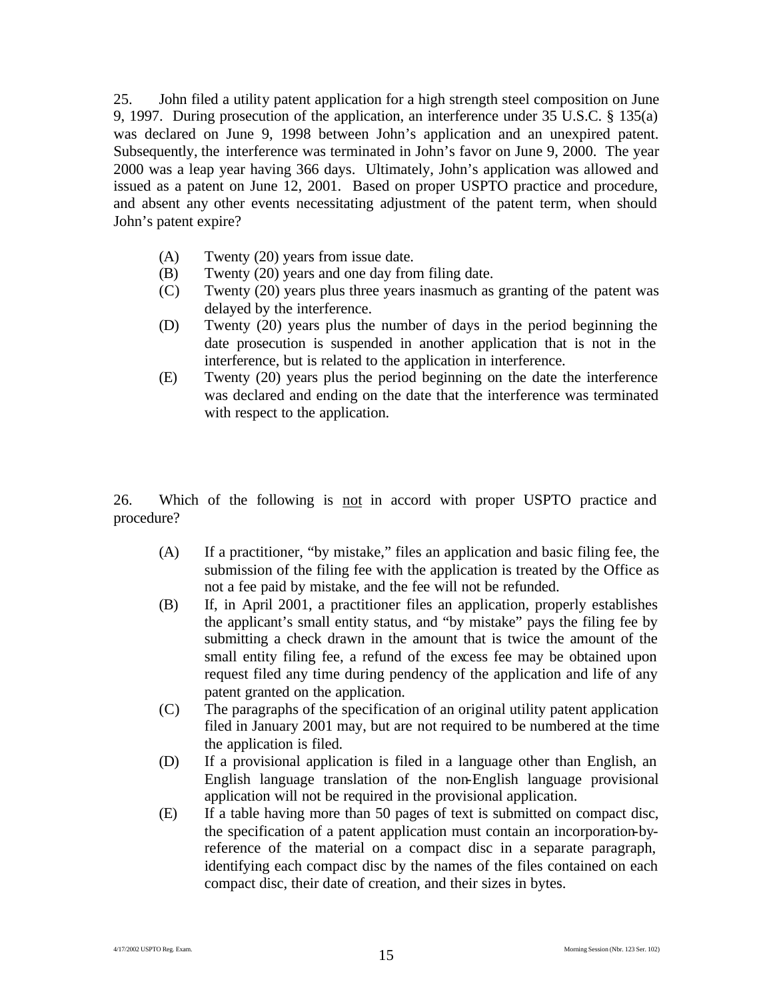25. John filed a utility patent application for a high strength steel composition on June 9, 1997. During prosecution of the application, an interference under 35 U.S.C. § 135(a) was declared on June 9, 1998 between John's application and an unexpired patent. Subsequently, the interference was terminated in John's favor on June 9, 2000. The year 2000 was a leap year having 366 days. Ultimately, John's application was allowed and issued as a patent on June 12, 2001. Based on proper USPTO practice and procedure, and absent any other events necessitating adjustment of the patent term, when should John's patent expire?

- (A) Twenty (20) years from issue date.
- (B) Twenty (20) years and one day from filing date.
- (C) Twenty (20) years plus three years inasmuch as granting of the patent was delayed by the interference.
- (D) Twenty (20) years plus the number of days in the period beginning the date prosecution is suspended in another application that is not in the interference, but is related to the application in interference.
- (E) Twenty (20) years plus the period beginning on the date the interference was declared and ending on the date that the interference was terminated with respect to the application.

26. Which of the following is not in accord with proper USPTO practice and procedure?

- (A) If a practitioner, "by mistake," files an application and basic filing fee, the submission of the filing fee with the application is treated by the Office as not a fee paid by mistake, and the fee will not be refunded.
- (B) If, in April 2001, a practitioner files an application, properly establishes the applicant's small entity status, and "by mistake" pays the filing fee by submitting a check drawn in the amount that is twice the amount of the small entity filing fee, a refund of the excess fee may be obtained upon request filed any time during pendency of the application and life of any patent granted on the application.
- (C) The paragraphs of the specification of an original utility patent application filed in January 2001 may, but are not required to be numbered at the time the application is filed.
- (D) If a provisional application is filed in a language other than English, an English language translation of the non-English language provisional application will not be required in the provisional application.
- (E) If a table having more than 50 pages of text is submitted on compact disc, the specification of a patent application must contain an incorporation-byreference of the material on a compact disc in a separate paragraph, identifying each compact disc by the names of the files contained on each compact disc, their date of creation, and their sizes in bytes.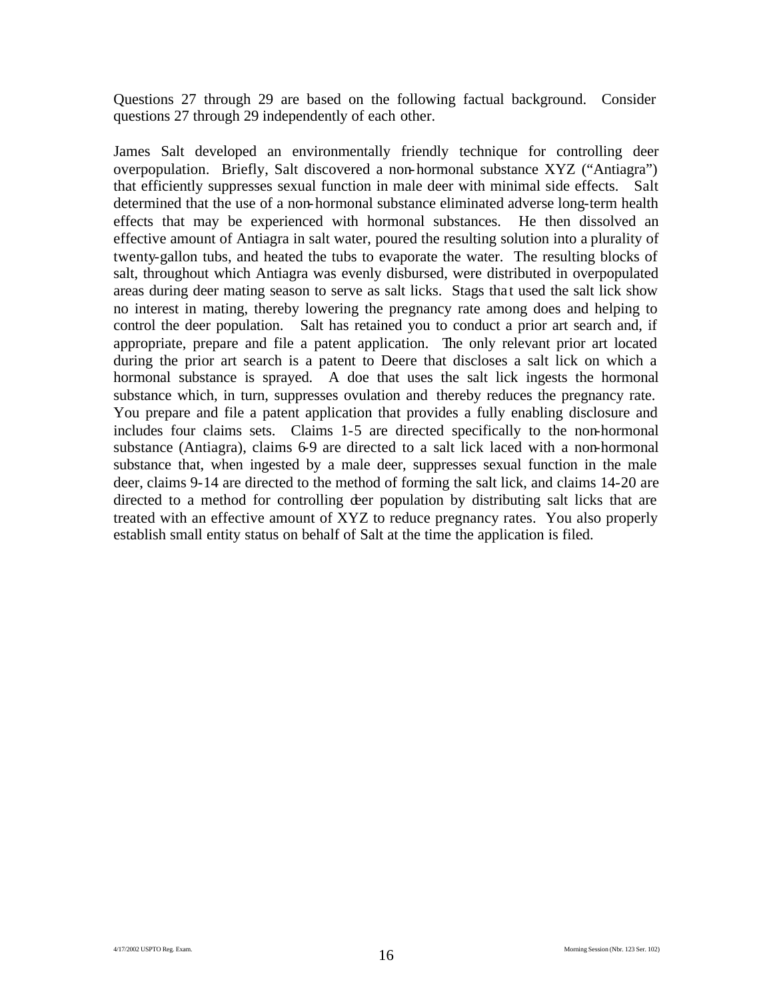Questions 27 through 29 are based on the following factual background. Consider questions 27 through 29 independently of each other.

James Salt developed an environmentally friendly technique for controlling deer overpopulation. Briefly, Salt discovered a non-hormonal substance XYZ ("Antiagra") that efficiently suppresses sexual function in male deer with minimal side effects. Salt determined that the use of a non-hormonal substance eliminated adverse long-term health effects that may be experienced with hormonal substances. He then dissolved an effective amount of Antiagra in salt water, poured the resulting solution into a plurality of twenty-gallon tubs, and heated the tubs to evaporate the water. The resulting blocks of salt, throughout which Antiagra was evenly disbursed, were distributed in overpopulated areas during deer mating season to serve as salt licks. Stags tha t used the salt lick show no interest in mating, thereby lowering the pregnancy rate among does and helping to control the deer population. Salt has retained you to conduct a prior art search and, if appropriate, prepare and file a patent application. The only relevant prior art located during the prior art search is a patent to Deere that discloses a salt lick on which a hormonal substance is sprayed. A doe that uses the salt lick ingests the hormonal substance which, in turn, suppresses ovulation and thereby reduces the pregnancy rate. You prepare and file a patent application that provides a fully enabling disclosure and includes four claims sets. Claims 1-5 are directed specifically to the non-hormonal substance (Antiagra), claims 6-9 are directed to a salt lick laced with a non-hormonal substance that, when ingested by a male deer, suppresses sexual function in the male deer, claims 9-14 are directed to the method of forming the salt lick, and claims 14-20 are directed to a method for controlling deer population by distributing salt licks that are treated with an effective amount of XYZ to reduce pregnancy rates. You also properly establish small entity status on behalf of Salt at the time the application is filed.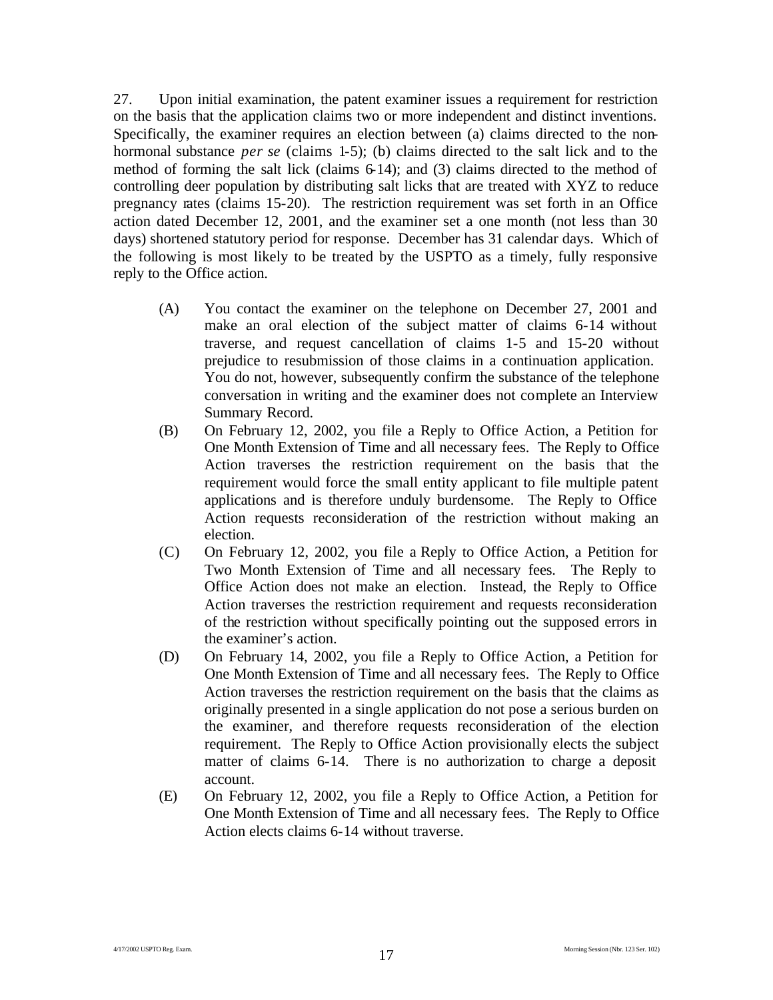27. Upon initial examination, the patent examiner issues a requirement for restriction on the basis that the application claims two or more independent and distinct inventions. Specifically, the examiner requires an election between (a) claims directed to the nonhormonal substance *per se* (claims 1-5); (b) claims directed to the salt lick and to the method of forming the salt lick (claims 6-14); and (3) claims directed to the method of controlling deer population by distributing salt licks that are treated with XYZ to reduce pregnancy rates (claims 15-20). The restriction requirement was set forth in an Office action dated December 12, 2001, and the examiner set a one month (not less than 30 days) shortened statutory period for response. December has 31 calendar days. Which of the following is most likely to be treated by the USPTO as a timely, fully responsive reply to the Office action.

- (A) You contact the examiner on the telephone on December 27, 2001 and make an oral election of the subject matter of claims 6-14 without traverse, and request cancellation of claims 1-5 and 15-20 without prejudice to resubmission of those claims in a continuation application. You do not, however, subsequently confirm the substance of the telephone conversation in writing and the examiner does not complete an Interview Summary Record.
- (B) On February 12, 2002, you file a Reply to Office Action, a Petition for One Month Extension of Time and all necessary fees. The Reply to Office Action traverses the restriction requirement on the basis that the requirement would force the small entity applicant to file multiple patent applications and is therefore unduly burdensome. The Reply to Office Action requests reconsideration of the restriction without making an election.
- (C) On February 12, 2002, you file a Reply to Office Action, a Petition for Two Month Extension of Time and all necessary fees. The Reply to Office Action does not make an election. Instead, the Reply to Office Action traverses the restriction requirement and requests reconsideration of the restriction without specifically pointing out the supposed errors in the examiner's action.
- (D) On February 14, 2002, you file a Reply to Office Action, a Petition for One Month Extension of Time and all necessary fees. The Reply to Office Action traverses the restriction requirement on the basis that the claims as originally presented in a single application do not pose a serious burden on the examiner, and therefore requests reconsideration of the election requirement. The Reply to Office Action provisionally elects the subject matter of claims 6-14. There is no authorization to charge a deposit account.
- (E) On February 12, 2002, you file a Reply to Office Action, a Petition for One Month Extension of Time and all necessary fees. The Reply to Office Action elects claims 6-14 without traverse.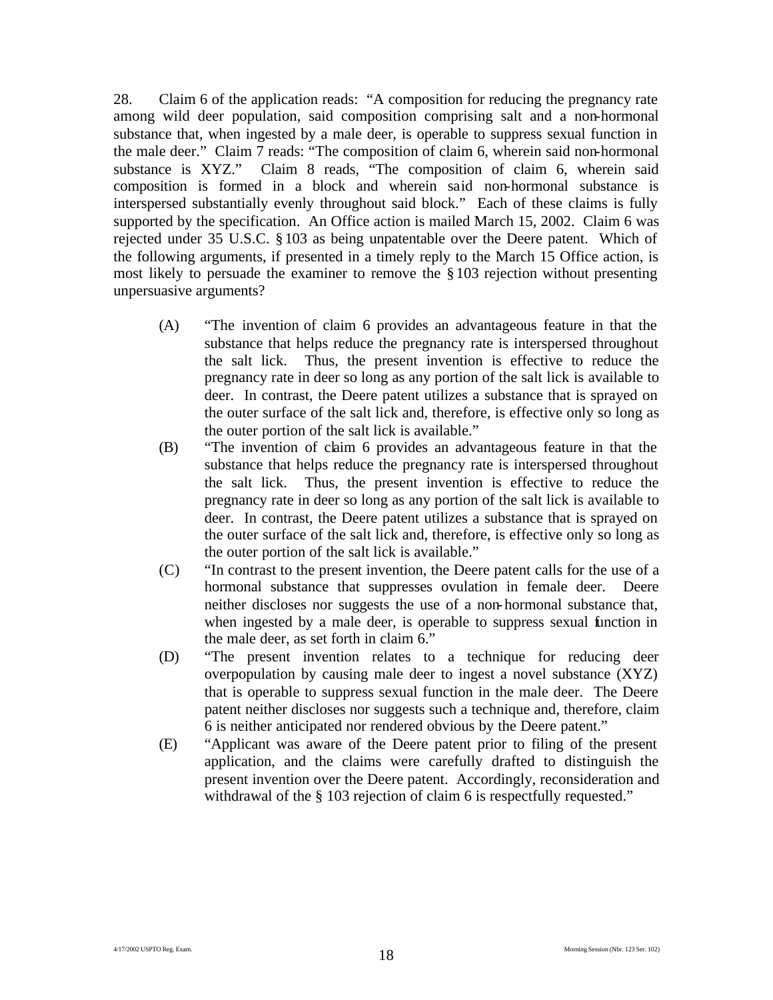28. Claim 6 of the application reads: "A composition for reducing the pregnancy rate among wild deer population, said composition comprising salt and a non-hormonal substance that, when ingested by a male deer, is operable to suppress sexual function in the male deer." Claim 7 reads: "The composition of claim 6, wherein said non-hormonal substance is XYZ." Claim 8 reads, "The composition of claim 6, wherein said composition is formed in a block and wherein said non-hormonal substance is interspersed substantially evenly throughout said block." Each of these claims is fully supported by the specification. An Office action is mailed March 15, 2002. Claim 6 was rejected under 35 U.S.C. § 103 as being unpatentable over the Deere patent. Which of the following arguments, if presented in a timely reply to the March 15 Office action, is most likely to persuade the examiner to remove the §103 rejection without presenting unpersuasive arguments?

- (A) "The invention of claim 6 provides an advantageous feature in that the substance that helps reduce the pregnancy rate is interspersed throughout the salt lick. Thus, the present invention is effective to reduce the pregnancy rate in deer so long as any portion of the salt lick is available to deer. In contrast, the Deere patent utilizes a substance that is sprayed on the outer surface of the salt lick and, therefore, is effective only so long as the outer portion of the salt lick is available."
- (B) "The invention of claim 6 provides an advantageous feature in that the substance that helps reduce the pregnancy rate is interspersed throughout the salt lick. Thus, the present invention is effective to reduce the pregnancy rate in deer so long as any portion of the salt lick is available to deer. In contrast, the Deere patent utilizes a substance that is sprayed on the outer surface of the salt lick and, therefore, is effective only so long as the outer portion of the salt lick is available."
- (C) "In contrast to the present invention, the Deere patent calls for the use of a hormonal substance that suppresses ovulation in female deer. Deere neither discloses nor suggests the use of a non-hormonal substance that, when ingested by a male deer, is operable to suppress sexual function in the male deer, as set forth in claim 6."
- (D) "The present invention relates to a technique for reducing deer overpopulation by causing male deer to ingest a novel substance (XYZ) that is operable to suppress sexual function in the male deer. The Deere patent neither discloses nor suggests such a technique and, therefore, claim 6 is neither anticipated nor rendered obvious by the Deere patent."
- (E) "Applicant was aware of the Deere patent prior to filing of the present application, and the claims were carefully drafted to distinguish the present invention over the Deere patent. Accordingly, reconsideration and withdrawal of the § 103 rejection of claim 6 is respectfully requested."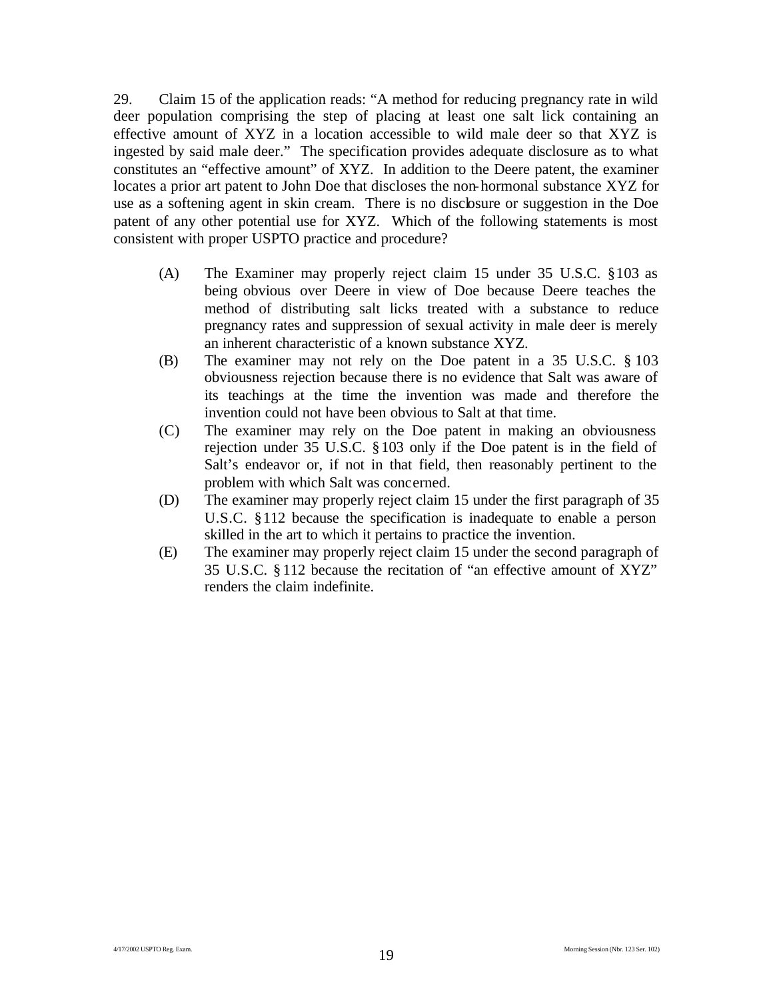29. Claim 15 of the application reads: "A method for reducing pregnancy rate in wild deer population comprising the step of placing at least one salt lick containing an effective amount of XYZ in a location accessible to wild male deer so that XYZ is ingested by said male deer." The specification provides adequate disclosure as to what constitutes an "effective amount" of XYZ. In addition to the Deere patent, the examiner locates a prior art patent to John Doe that discloses the non-hormonal substance XYZ for use as a softening agent in skin cream. There is no disclosure or suggestion in the Doe patent of any other potential use for XYZ. Which of the following statements is most consistent with proper USPTO practice and procedure?

- (A) The Examiner may properly reject claim 15 under 35 U.S.C. §103 as being obvious over Deere in view of Doe because Deere teaches the method of distributing salt licks treated with a substance to reduce pregnancy rates and suppression of sexual activity in male deer is merely an inherent characteristic of a known substance XYZ.
- (B) The examiner may not rely on the Doe patent in a 35 U.S.C. § 103 obviousness rejection because there is no evidence that Salt was aware of its teachings at the time the invention was made and therefore the invention could not have been obvious to Salt at that time.
- (C) The examiner may rely on the Doe patent in making an obviousness rejection under 35 U.S.C. §103 only if the Doe patent is in the field of Salt's endeavor or, if not in that field, then reasonably pertinent to the problem with which Salt was concerned.
- (D) The examiner may properly reject claim 15 under the first paragraph of 35 U.S.C. §112 because the specification is inadequate to enable a person skilled in the art to which it pertains to practice the invention.
- (E) The examiner may properly reject claim 15 under the second paragraph of 35 U.S.C. § 112 because the recitation of "an effective amount of XYZ" renders the claim indefinite.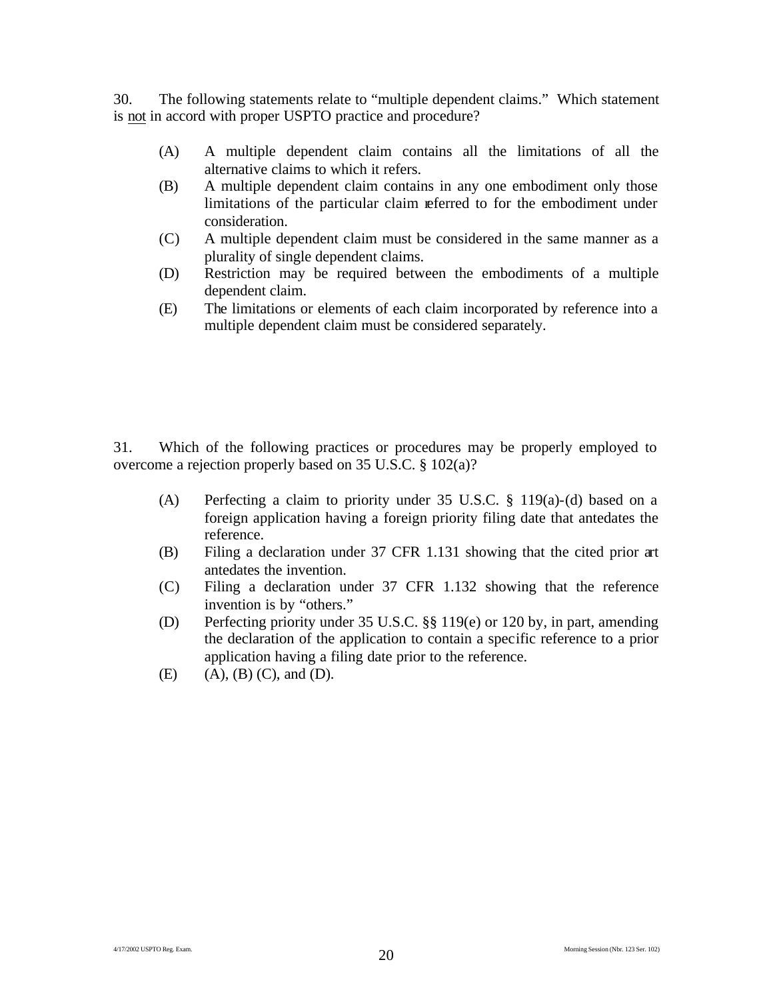30. The following statements relate to "multiple dependent claims." Which statement is not in accord with proper USPTO practice and procedure?

- (A) A multiple dependent claim contains all the limitations of all the alternative claims to which it refers.
- (B) A multiple dependent claim contains in any one embodiment only those limitations of the particular claim referred to for the embodiment under consideration.
- (C) A multiple dependent claim must be considered in the same manner as a plurality of single dependent claims.
- (D) Restriction may be required between the embodiments of a multiple dependent claim.
- (E) The limitations or elements of each claim incorporated by reference into a multiple dependent claim must be considered separately.

31. Which of the following practices or procedures may be properly employed to overcome a rejection properly based on 35 U.S.C. § 102(a)?

- (A) Perfecting a claim to priority under 35 U.S.C. § 119(a)-(d) based on a foreign application having a foreign priority filing date that antedates the reference.
- (B) Filing a declaration under 37 CFR 1.131 showing that the cited prior art antedates the invention.
- (C) Filing a declaration under 37 CFR 1.132 showing that the reference invention is by "others."
- (D) Perfecting priority under 35 U.S.C. §§ 119(e) or 120 by, in part, amending the declaration of the application to contain a specific reference to a prior application having a filing date prior to the reference.
- $(E)$  (A),  $(B)$  (C), and (D).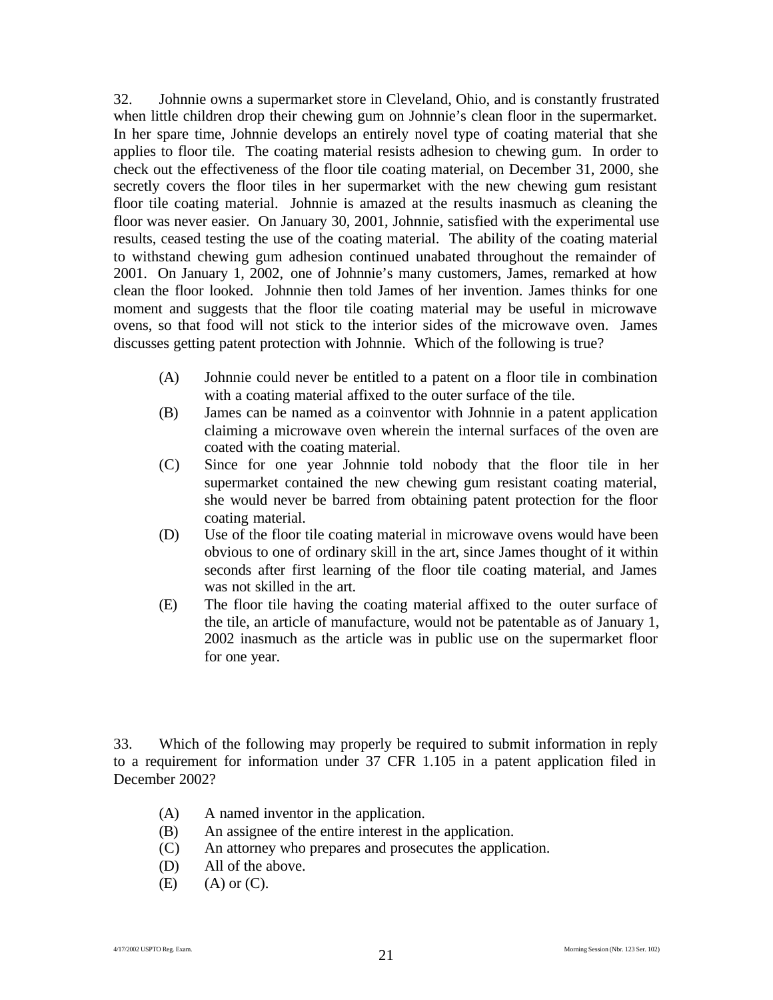32. Johnnie owns a supermarket store in Cleveland, Ohio, and is constantly frustrated when little children drop their chewing gum on Johnnie's clean floor in the supermarket. In her spare time, Johnnie develops an entirely novel type of coating material that she applies to floor tile. The coating material resists adhesion to chewing gum. In order to check out the effectiveness of the floor tile coating material, on December 31, 2000, she secretly covers the floor tiles in her supermarket with the new chewing gum resistant floor tile coating material. Johnnie is amazed at the results inasmuch as cleaning the floor was never easier. On January 30, 2001, Johnnie, satisfied with the experimental use results, ceased testing the use of the coating material. The ability of the coating material to withstand chewing gum adhesion continued unabated throughout the remainder of 2001. On January 1, 2002, one of Johnnie's many customers, James, remarked at how clean the floor looked. Johnnie then told James of her invention. James thinks for one moment and suggests that the floor tile coating material may be useful in microwave ovens, so that food will not stick to the interior sides of the microwave oven. James discusses getting patent protection with Johnnie. Which of the following is true?

- (A) Johnnie could never be entitled to a patent on a floor tile in combination with a coating material affixed to the outer surface of the tile.
- (B) James can be named as a coinventor with Johnnie in a patent application claiming a microwave oven wherein the internal surfaces of the oven are coated with the coating material.
- (C) Since for one year Johnnie told nobody that the floor tile in her supermarket contained the new chewing gum resistant coating material, she would never be barred from obtaining patent protection for the floor coating material.
- (D) Use of the floor tile coating material in microwave ovens would have been obvious to one of ordinary skill in the art, since James thought of it within seconds after first learning of the floor tile coating material, and James was not skilled in the art.
- (E) The floor tile having the coating material affixed to the outer surface of the tile, an article of manufacture, would not be patentable as of January 1, 2002 inasmuch as the article was in public use on the supermarket floor for one year.

33. Which of the following may properly be required to submit information in reply to a requirement for information under 37 CFR 1.105 in a patent application filed in December 2002?

- (A) A named inventor in the application.
- (B) An assignee of the entire interest in the application.
- (C) An attorney who prepares and prosecutes the application.
- (D) All of the above.
- $(E)$   $(A)$  or  $(C)$ .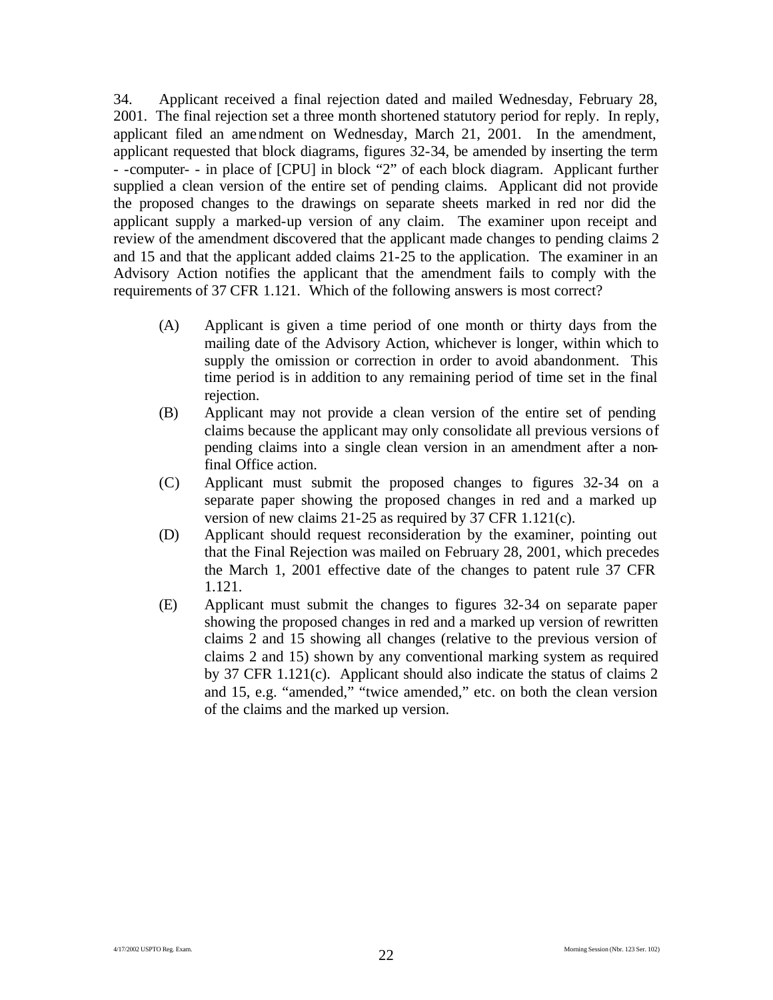34. Applicant received a final rejection dated and mailed Wednesday, February 28, 2001. The final rejection set a three month shortened statutory period for reply. In reply, applicant filed an amendment on Wednesday, March 21, 2001. In the amendment, applicant requested that block diagrams, figures 32-34, be amended by inserting the term - -computer- - in place of [CPU] in block "2" of each block diagram. Applicant further supplied a clean version of the entire set of pending claims. Applicant did not provide the proposed changes to the drawings on separate sheets marked in red nor did the applicant supply a marked-up version of any claim. The examiner upon receipt and review of the amendment discovered that the applicant made changes to pending claims 2 and 15 and that the applicant added claims 21-25 to the application. The examiner in an Advisory Action notifies the applicant that the amendment fails to comply with the requirements of 37 CFR 1.121. Which of the following answers is most correct?

- (A) Applicant is given a time period of one month or thirty days from the mailing date of the Advisory Action, whichever is longer, within which to supply the omission or correction in order to avoid abandonment. This time period is in addition to any remaining period of time set in the final rejection.
- (B) Applicant may not provide a clean version of the entire set of pending claims because the applicant may only consolidate all previous versions of pending claims into a single clean version in an amendment after a nonfinal Office action.
- (C) Applicant must submit the proposed changes to figures 32-34 on a separate paper showing the proposed changes in red and a marked up version of new claims 21-25 as required by 37 CFR 1.121(c).
- (D) Applicant should request reconsideration by the examiner, pointing out that the Final Rejection was mailed on February 28, 2001, which precedes the March 1, 2001 effective date of the changes to patent rule 37 CFR 1.121.
- (E) Applicant must submit the changes to figures 32-34 on separate paper showing the proposed changes in red and a marked up version of rewritten claims 2 and 15 showing all changes (relative to the previous version of claims 2 and 15) shown by any conventional marking system as required by 37 CFR 1.121(c). Applicant should also indicate the status of claims 2 and 15, e.g. "amended," "twice amended," etc. on both the clean version of the claims and the marked up version.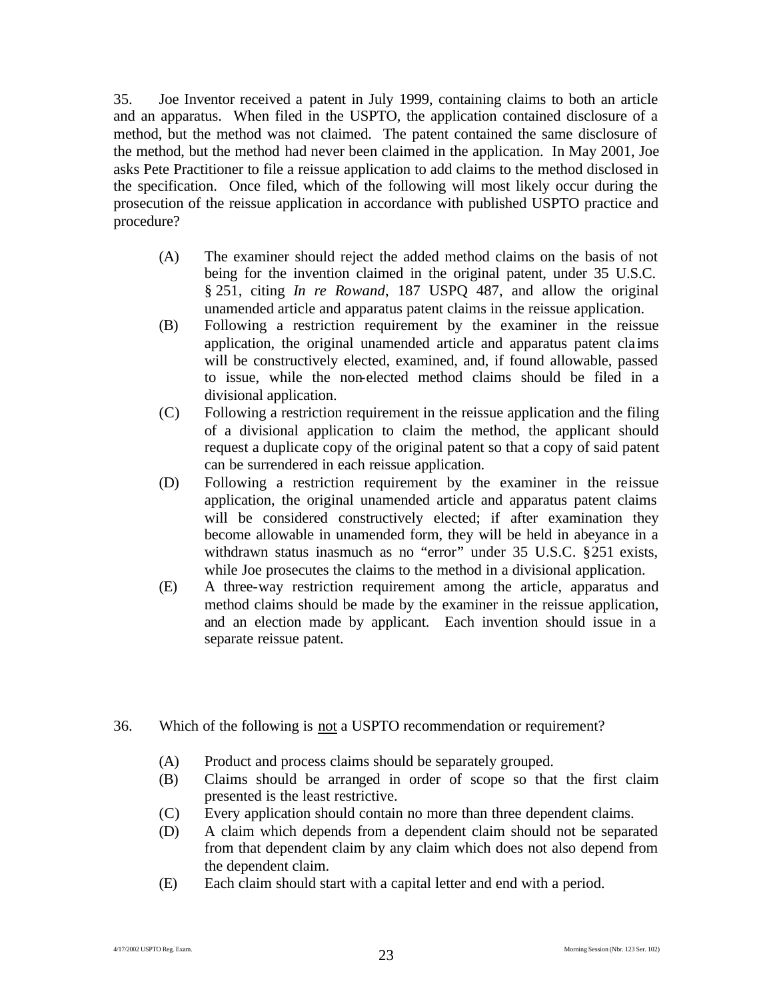35. Joe Inventor received a patent in July 1999, containing claims to both an article and an apparatus. When filed in the USPTO, the application contained disclosure of a method, but the method was not claimed. The patent contained the same disclosure of the method, but the method had never been claimed in the application. In May 2001, Joe asks Pete Practitioner to file a reissue application to add claims to the method disclosed in the specification. Once filed, which of the following will most likely occur during the prosecution of the reissue application in accordance with published USPTO practice and procedure?

- (A) The examiner should reject the added method claims on the basis of not being for the invention claimed in the original patent, under 35 U.S.C. § 251, citing *In re Rowand*, 187 USPQ 487, and allow the original unamended article and apparatus patent claims in the reissue application.
- (B) Following a restriction requirement by the examiner in the reissue application, the original unamended article and apparatus patent cla ims will be constructively elected, examined, and, if found allowable, passed to issue, while the non-elected method claims should be filed in a divisional application.
- (C) Following a restriction requirement in the reissue application and the filing of a divisional application to claim the method, the applicant should request a duplicate copy of the original patent so that a copy of said patent can be surrendered in each reissue application.
- (D) Following a restriction requirement by the examiner in the reissue application, the original unamended article and apparatus patent claims will be considered constructively elected; if after examination they become allowable in unamended form, they will be held in abeyance in a withdrawn status inasmuch as no "error" under 35 U.S.C. §251 exists, while Joe prosecutes the claims to the method in a divisional application.
- (E) A three-way restriction requirement among the article, apparatus and method claims should be made by the examiner in the reissue application, and an election made by applicant. Each invention should issue in a separate reissue patent.
- 36. Which of the following is not a USPTO recommendation or requirement?
	- (A) Product and process claims should be separately grouped.
	- (B) Claims should be arranged in order of scope so that the first claim presented is the least restrictive.
	- (C) Every application should contain no more than three dependent claims.
	- (D) A claim which depends from a dependent claim should not be separated from that dependent claim by any claim which does not also depend from the dependent claim.
	- (E) Each claim should start with a capital letter and end with a period.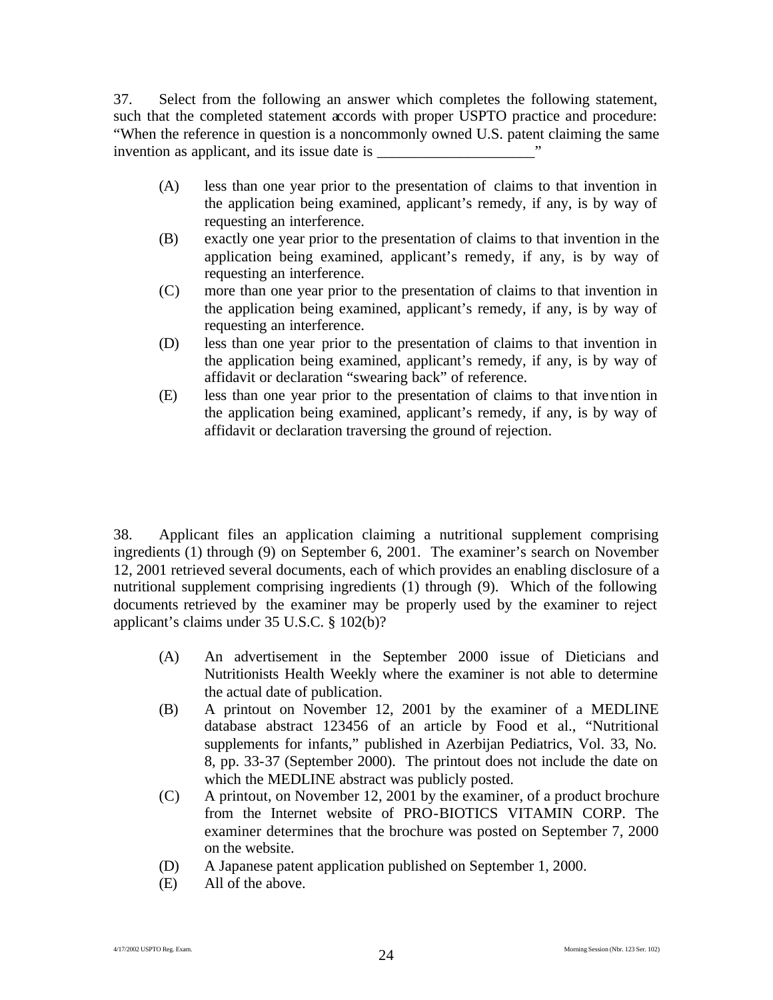37. Select from the following an answer which completes the following statement, such that the completed statement accords with proper USPTO practice and procedure: "When the reference in question is a noncommonly owned U.S. patent claiming the same invention as applicant, and its issue date is \_\_\_\_\_\_\_\_\_\_\_\_\_\_\_\_\_\_\_\_\_"

- (A) less than one year prior to the presentation of claims to that invention in the application being examined, applicant's remedy, if any, is by way of requesting an interference.
- (B) exactly one year prior to the presentation of claims to that invention in the application being examined, applicant's remedy, if any, is by way of requesting an interference.
- (C) more than one year prior to the presentation of claims to that invention in the application being examined, applicant's remedy, if any, is by way of requesting an interference.
- (D) less than one year prior to the presentation of claims to that invention in the application being examined, applicant's remedy, if any, is by way of affidavit or declaration "swearing back" of reference.
- (E) less than one year prior to the presentation of claims to that invention in the application being examined, applicant's remedy, if any, is by way of affidavit or declaration traversing the ground of rejection.

38. Applicant files an application claiming a nutritional supplement comprising ingredients (1) through (9) on September 6, 2001. The examiner's search on November 12, 2001 retrieved several documents, each of which provides an enabling disclosure of a nutritional supplement comprising ingredients (1) through (9). Which of the following documents retrieved by the examiner may be properly used by the examiner to reject applicant's claims under 35 U.S.C. § 102(b)?

- (A) An advertisement in the September 2000 issue of Dieticians and Nutritionists Health Weekly where the examiner is not able to determine the actual date of publication.
- (B) A printout on November 12, 2001 by the examiner of a MEDLINE database abstract 123456 of an article by Food et al., "Nutritional supplements for infants," published in Azerbijan Pediatrics, Vol. 33, No. 8, pp. 33-37 (September 2000). The printout does not include the date on which the MEDLINE abstract was publicly posted.
- (C) A printout, on November 12, 2001 by the examiner, of a product brochure from the Internet website of PRO-BIOTICS VITAMIN CORP. The examiner determines that the brochure was posted on September 7, 2000 on the website.
- (D) A Japanese patent application published on September 1, 2000.
- (E) All of the above.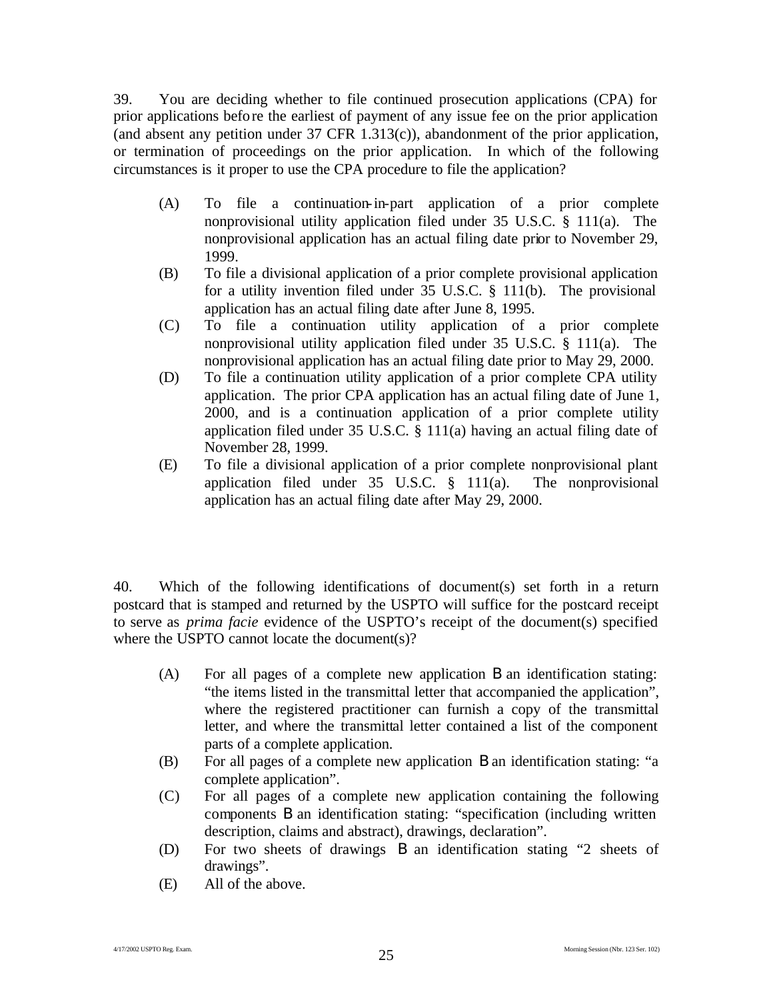39. You are deciding whether to file continued prosecution applications (CPA) for prior applications before the earliest of payment of any issue fee on the prior application (and absent any petition under  $37$  CFR 1.313(c)), abandonment of the prior application, or termination of proceedings on the prior application. In which of the following circumstances is it proper to use the CPA procedure to file the application?

- (A) To file a continuation-in-part application of a prior complete nonprovisional utility application filed under 35 U.S.C. § 111(a). The nonprovisional application has an actual filing date prior to November 29, 1999.
- (B) To file a divisional application of a prior complete provisional application for a utility invention filed under 35 U.S.C. § 111(b). The provisional application has an actual filing date after June 8, 1995.
- (C) To file a continuation utility application of a prior complete nonprovisional utility application filed under 35 U.S.C. § 111(a). The nonprovisional application has an actual filing date prior to May 29, 2000.
- (D) To file a continuation utility application of a prior complete CPA utility application. The prior CPA application has an actual filing date of June 1, 2000, and is a continuation application of a prior complete utility application filed under 35 U.S.C. § 111(a) having an actual filing date of November 28, 1999.
- (E) To file a divisional application of a prior complete nonprovisional plant application filed under 35 U.S.C. § 111(a). The nonprovisional application has an actual filing date after May 29, 2000.

40. Which of the following identifications of document(s) set forth in a return postcard that is stamped and returned by the USPTO will suffice for the postcard receipt to serve as *prima facie* evidence of the USPTO's receipt of the document(s) specified where the USPTO cannot locate the document(s)?

- (A) For all pages of a complete new application B an identification stating: "the items listed in the transmittal letter that accompanied the application", where the registered practitioner can furnish a copy of the transmittal letter, and where the transmittal letter contained a list of the component parts of a complete application.
- (B) For all pages of a complete new application B an identification stating: "a complete application".
- (C) For all pages of a complete new application containing the following components B an identification stating: "specification (including written description, claims and abstract), drawings, declaration".
- (D) For two sheets of drawings B an identification stating "2 sheets of drawings".
- (E) All of the above.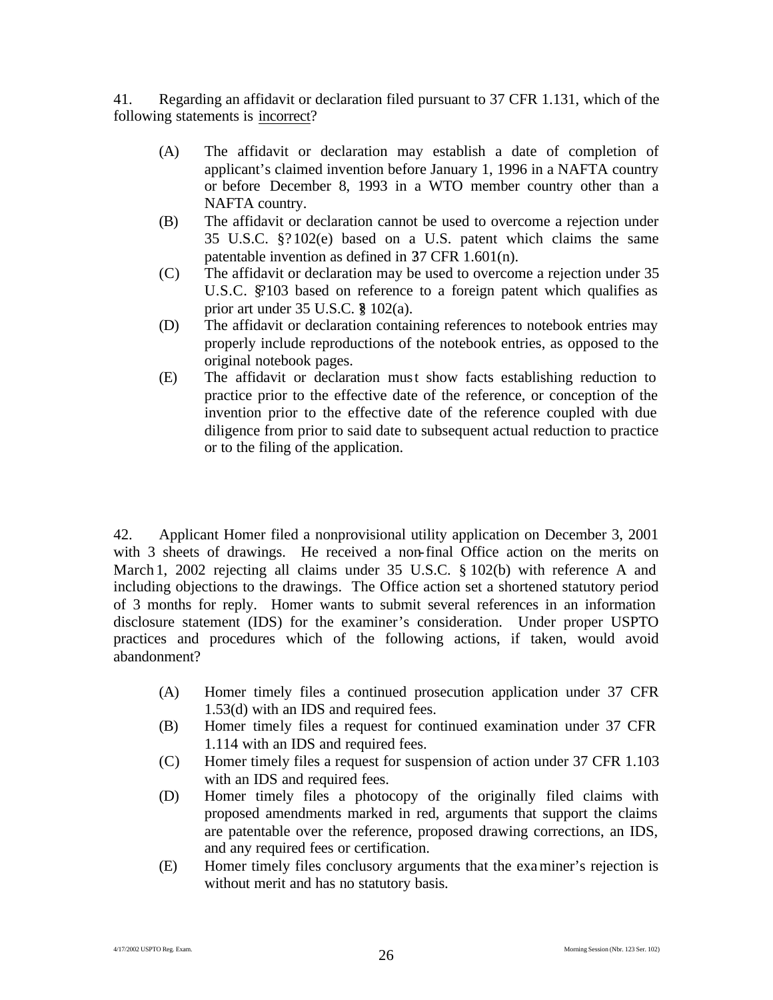41. Regarding an affidavit or declaration filed pursuant to 37 CFR 1.131, which of the following statements is incorrect?

- (A) The affidavit or declaration may establish a date of completion of applicant's claimed invention before January 1, 1996 in a NAFTA country or before December 8, 1993 in a WTO member country other than a NAFTA country.
- (B) The affidavit or declaration cannot be used to overcome a rejection under 35 U.S.C. §? 102(e) based on a U.S. patent which claims the same patentable invention as defined in  $37$  CFR 1.601(n).
- (C) The affidavit or declaration may be used to overcome a rejection under 35 U.S.C. §? 103 based on reference to a foreign patent which qualifies as prior art under  $35$  U.S.C.  $\frac{8}{9}$  102(a).
- (D) The affidavit or declaration containing references to notebook entries may properly include reproductions of the notebook entries, as opposed to the original notebook pages.
- (E) The affidavit or declaration must show facts establishing reduction to practice prior to the effective date of the reference, or conception of the invention prior to the effective date of the reference coupled with due diligence from prior to said date to subsequent actual reduction to practice or to the filing of the application.

42. Applicant Homer filed a nonprovisional utility application on December 3, 2001 with 3 sheets of drawings. He received a non-final Office action on the merits on March 1, 2002 rejecting all claims under 35 U.S.C. § 102(b) with reference A and including objections to the drawings. The Office action set a shortened statutory period of 3 months for reply. Homer wants to submit several references in an information disclosure statement (IDS) for the examiner's consideration. Under proper USPTO practices and procedures which of the following actions, if taken, would avoid abandonment?

- (A) Homer timely files a continued prosecution application under 37 CFR 1.53(d) with an IDS and required fees.
- (B) Homer timely files a request for continued examination under 37 CFR 1.114 with an IDS and required fees.
- (C) Homer timely files a request for suspension of action under 37 CFR 1.103 with an IDS and required fees.
- (D) Homer timely files a photocopy of the originally filed claims with proposed amendments marked in red, arguments that support the claims are patentable over the reference, proposed drawing corrections, an IDS, and any required fees or certification.
- (E) Homer timely files conclusory arguments that the examiner's rejection is without merit and has no statutory basis.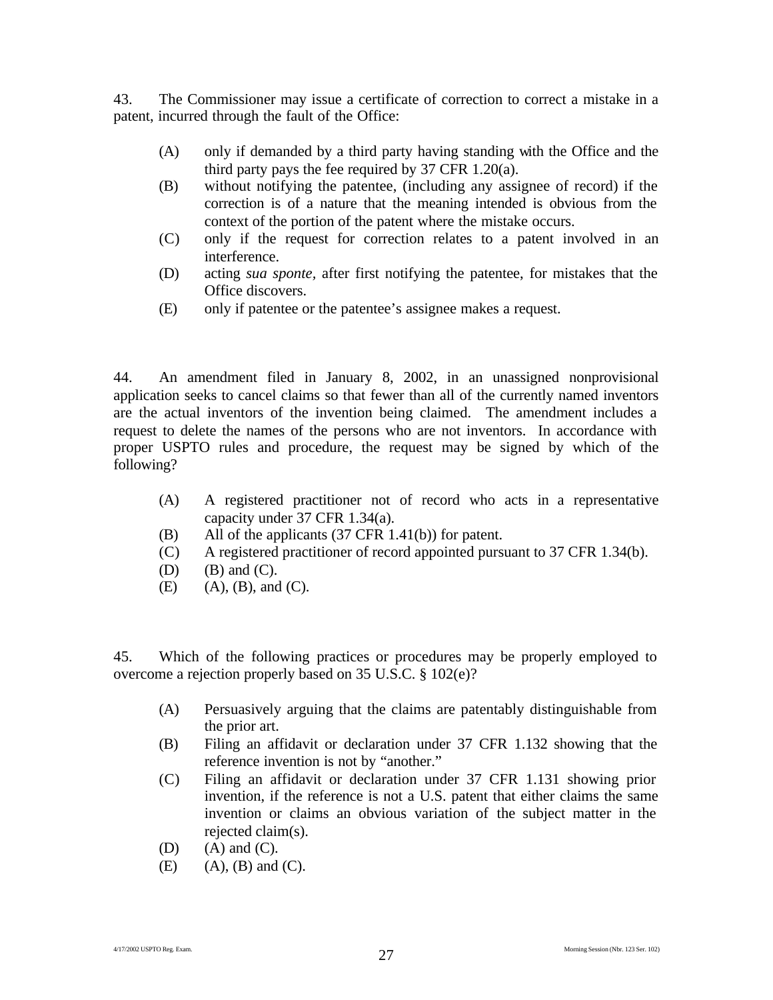43. The Commissioner may issue a certificate of correction to correct a mistake in a patent, incurred through the fault of the Office:

- (A) only if demanded by a third party having standing with the Office and the third party pays the fee required by 37 CFR 1.20(a).
- (B) without notifying the patentee, (including any assignee of record) if the correction is of a nature that the meaning intended is obvious from the context of the portion of the patent where the mistake occurs.
- (C) only if the request for correction relates to a patent involved in an interference.
- (D) acting *sua sponte,* after first notifying the patentee, for mistakes that the Office discovers.
- (E) only if patentee or the patentee's assignee makes a request.

44. An amendment filed in January 8, 2002, in an unassigned nonprovisional application seeks to cancel claims so that fewer than all of the currently named inventors are the actual inventors of the invention being claimed. The amendment includes a request to delete the names of the persons who are not inventors. In accordance with proper USPTO rules and procedure, the request may be signed by which of the following?

- (A) A registered practitioner not of record who acts in a representative capacity under 37 CFR 1.34(a).
- (B) All of the applicants (37 CFR 1.41(b)) for patent.
- (C) A registered practitioner of record appointed pursuant to 37 CFR 1.34(b).
- $(D)$   $(B)$  and  $(C)$ .
- $(E)$  (A),  $(B)$ , and  $(C)$ .

45. Which of the following practices or procedures may be properly employed to overcome a rejection properly based on 35 U.S.C. § 102(e)?

- (A) Persuasively arguing that the claims are patentably distinguishable from the prior art.
- (B) Filing an affidavit or declaration under 37 CFR 1.132 showing that the reference invention is not by "another."
- (C) Filing an affidavit or declaration under 37 CFR 1.131 showing prior invention, if the reference is not a U.S. patent that either claims the same invention or claims an obvious variation of the subject matter in the rejected claim(s).
- $(D)$   $(A)$  and  $(C)$ .
- $(E)$  (A),  $(B)$  and  $(C)$ .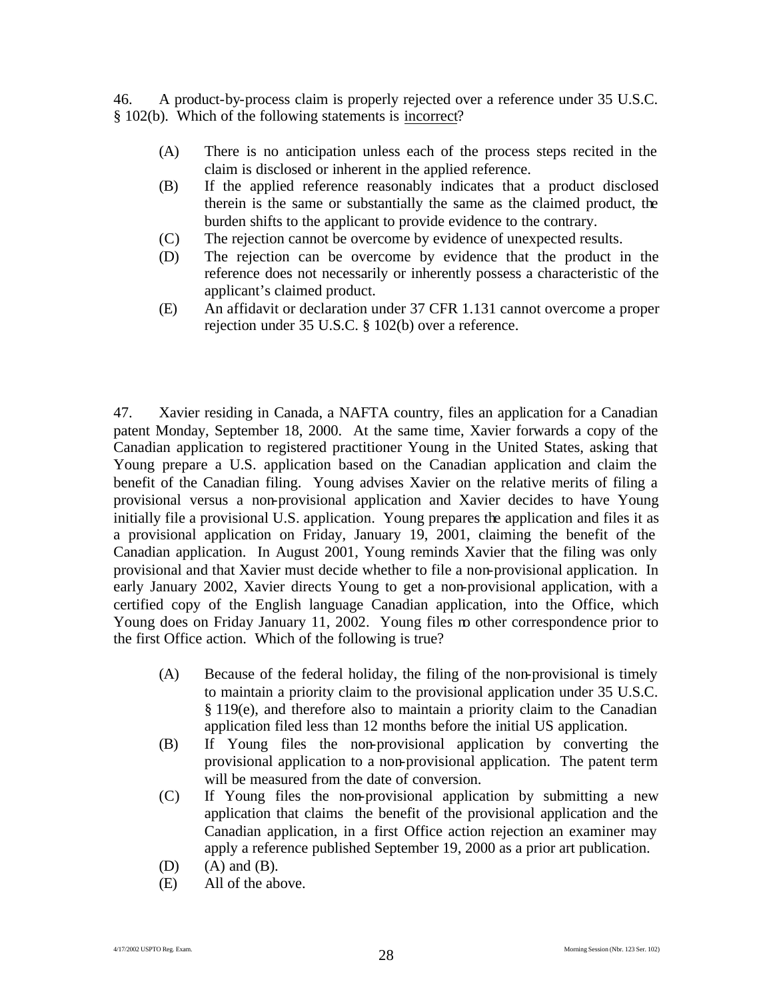46. A product-by-process claim is properly rejected over a reference under 35 U.S.C. § 102(b). Which of the following statements is incorrect?

- (A) There is no anticipation unless each of the process steps recited in the claim is disclosed or inherent in the applied reference.
- (B) If the applied reference reasonably indicates that a product disclosed therein is the same or substantially the same as the claimed product, the burden shifts to the applicant to provide evidence to the contrary.
- (C) The rejection cannot be overcome by evidence of unexpected results.
- (D) The rejection can be overcome by evidence that the product in the reference does not necessarily or inherently possess a characteristic of the applicant's claimed product.
- (E) An affidavit or declaration under 37 CFR 1.131 cannot overcome a proper rejection under 35 U.S.C. § 102(b) over a reference.

47. Xavier residing in Canada, a NAFTA country, files an application for a Canadian patent Monday, September 18, 2000. At the same time, Xavier forwards a copy of the Canadian application to registered practitioner Young in the United States, asking that Young prepare a U.S. application based on the Canadian application and claim the benefit of the Canadian filing. Young advises Xavier on the relative merits of filing a provisional versus a non-provisional application and Xavier decides to have Young initially file a provisional U.S. application. Young prepares the application and files it as a provisional application on Friday, January 19, 2001, claiming the benefit of the Canadian application. In August 2001, Young reminds Xavier that the filing was only provisional and that Xavier must decide whether to file a non-provisional application. In early January 2002, Xavier directs Young to get a non-provisional application, with a certified copy of the English language Canadian application, into the Office, which Young does on Friday January 11, 2002. Young files m other correspondence prior to the first Office action. Which of the following is true?

- (A) Because of the federal holiday, the filing of the non-provisional is timely to maintain a priority claim to the provisional application under 35 U.S.C. § 119(e), and therefore also to maintain a priority claim to the Canadian application filed less than 12 months before the initial US application.
- (B) If Young files the non-provisional application by converting the provisional application to a non-provisional application. The patent term will be measured from the date of conversion.
- (C) If Young files the non-provisional application by submitting a new application that claims the benefit of the provisional application and the Canadian application, in a first Office action rejection an examiner may apply a reference published September 19, 2000 as a prior art publication.
- $(D)$   $(A)$  and  $(B)$ .
- (E) All of the above.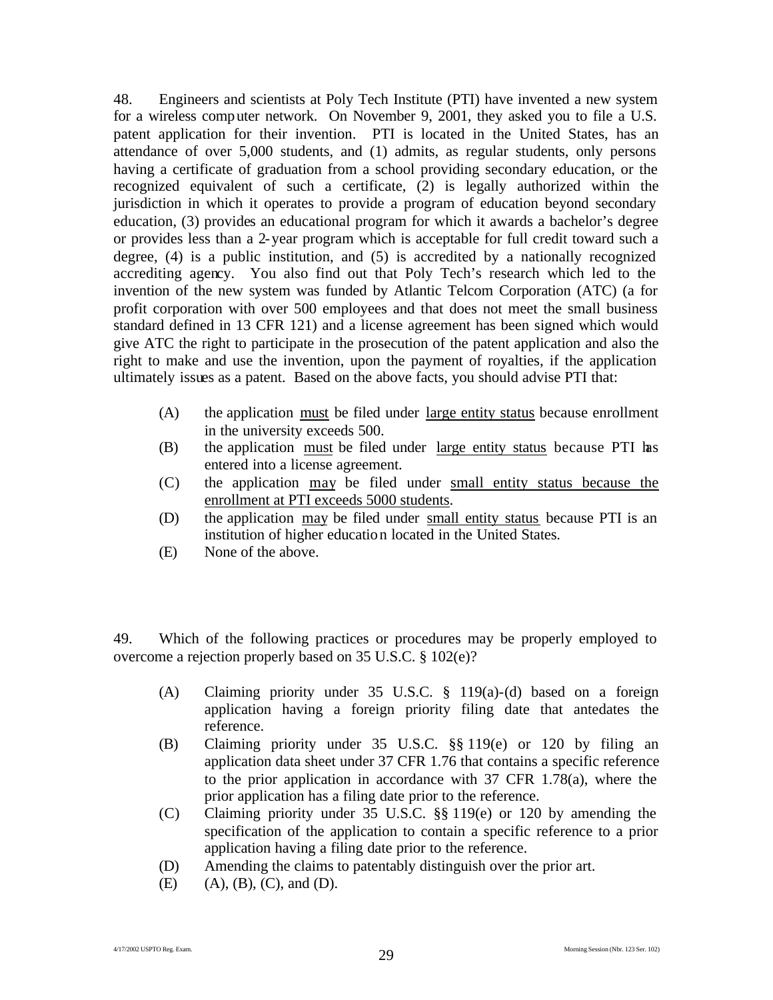48. Engineers and scientists at Poly Tech Institute (PTI) have invented a new system for a wireless computer network. On November 9, 2001, they asked you to file a U.S. patent application for their invention. PTI is located in the United States, has an attendance of over 5,000 students, and (1) admits, as regular students, only persons having a certificate of graduation from a school providing secondary education, or the recognized equivalent of such a certificate, (2) is legally authorized within the jurisdiction in which it operates to provide a program of education beyond secondary education, (3) provides an educational program for which it awards a bachelor's degree or provides less than a 2-year program which is acceptable for full credit toward such a degree, (4) is a public institution, and (5) is accredited by a nationally recognized accrediting agency. You also find out that Poly Tech's research which led to the invention of the new system was funded by Atlantic Telcom Corporation (ATC) (a for profit corporation with over 500 employees and that does not meet the small business standard defined in 13 CFR 121) and a license agreement has been signed which would give ATC the right to participate in the prosecution of the patent application and also the right to make and use the invention, upon the payment of royalties, if the application ultimately issues as a patent. Based on the above facts, you should advise PTI that:

- (A) the application must be filed under large entity status because enrollment in the university exceeds 500.
- (B) the application must be filed under large entity status because PTI has entered into a license agreement.
- (C) the application may be filed under small entity status because the enrollment at PTI exceeds 5000 students.
- (D) the application may be filed under small entity status because PTI is an institution of higher education located in the United States.
- (E) None of the above.

49. Which of the following practices or procedures may be properly employed to overcome a rejection properly based on 35 U.S.C. § 102(e)?

- (A) Claiming priority under 35 U.S.C. § 119(a)-(d) based on a foreign application having a foreign priority filing date that antedates the reference.
- (B) Claiming priority under 35 U.S.C. §§ 119(e) or 120 by filing an application data sheet under 37 CFR 1.76 that contains a specific reference to the prior application in accordance with 37 CFR 1.78(a), where the prior application has a filing date prior to the reference.
- (C) Claiming priority under 35 U.S.C. §§ 119(e) or 120 by amending the specification of the application to contain a specific reference to a prior application having a filing date prior to the reference.
- (D) Amending the claims to patentably distinguish over the prior art.
- $(E)$  (A),  $(B)$ ,  $(C)$ , and  $(D)$ .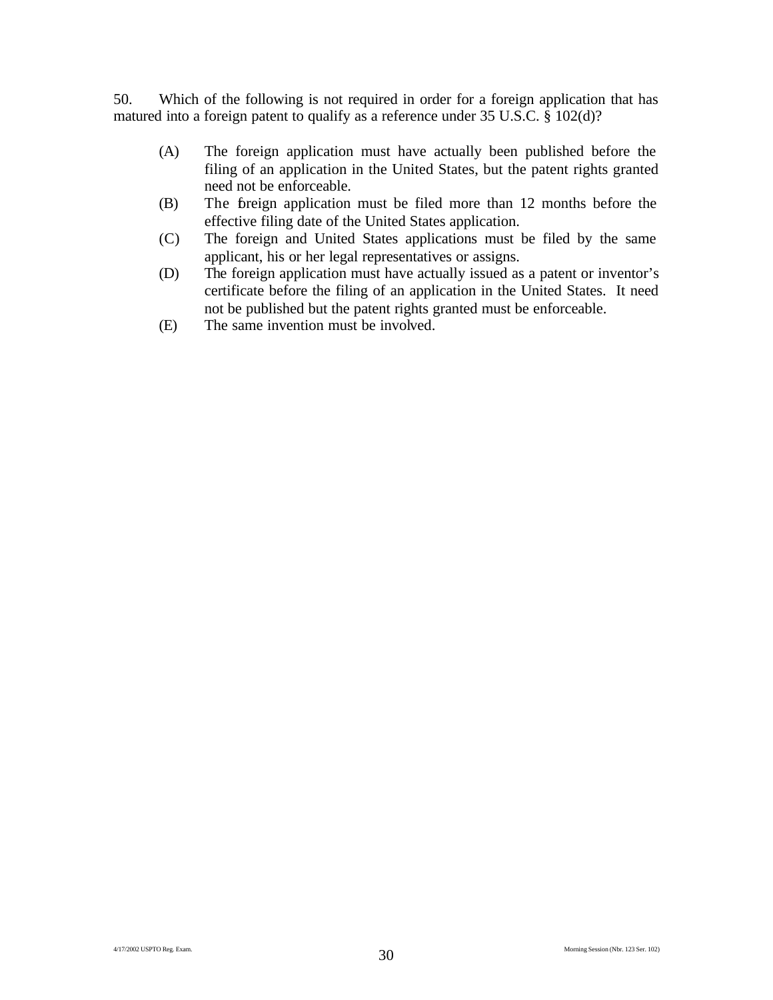50. Which of the following is not required in order for a foreign application that has matured into a foreign patent to qualify as a reference under 35 U.S.C. § 102(d)?

- (A) The foreign application must have actually been published before the filing of an application in the United States, but the patent rights granted need not be enforceable.
- (B) The foreign application must be filed more than 12 months before the effective filing date of the United States application.
- (C) The foreign and United States applications must be filed by the same applicant, his or her legal representatives or assigns.
- (D) The foreign application must have actually issued as a patent or inventor's certificate before the filing of an application in the United States. It need not be published but the patent rights granted must be enforceable.
- (E) The same invention must be involved.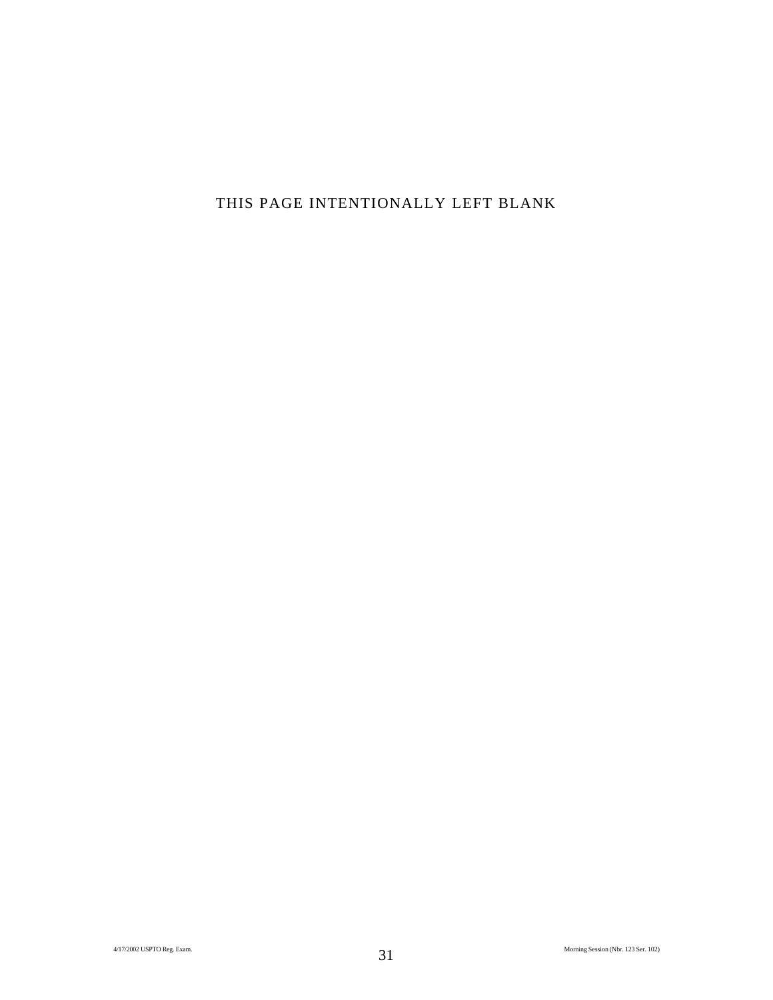THIS PAGE INTENTIONALLY LEFT BLANK